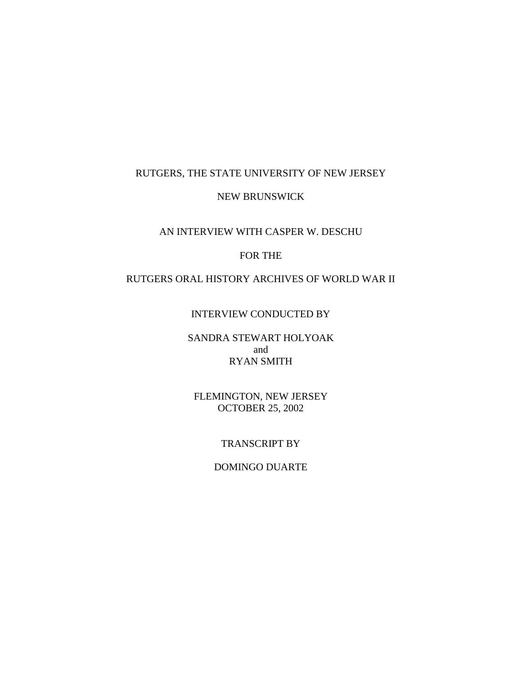## RUTGERS, THE STATE UNIVERSITY OF NEW JERSEY

#### NEW BRUNSWICK

# AN INTERVIEW WITH CASPER W. DESCHU

## FOR THE

# RUTGERS ORAL HISTORY ARCHIVES OF WORLD WAR II

#### INTERVIEW CONDUCTED BY

## SANDRA STEWART HOLYOAK and RYAN SMITH

#### FLEMINGTON, NEW JERSEY OCTOBER 25, 2002

#### TRANSCRIPT BY

#### DOMINGO DUARTE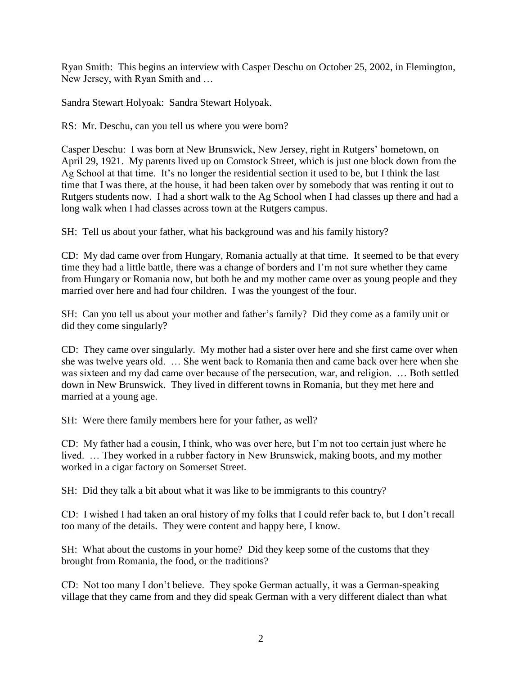Ryan Smith: This begins an interview with Casper Deschu on October 25, 2002, in Flemington, New Jersey, with Ryan Smith and …

Sandra Stewart Holyoak: Sandra Stewart Holyoak.

RS: Mr. Deschu, can you tell us where you were born?

Casper Deschu: I was born at New Brunswick, New Jersey, right in Rutgers' hometown, on April 29, 1921. My parents lived up on Comstock Street, which is just one block down from the Ag School at that time. It's no longer the residential section it used to be, but I think the last time that I was there, at the house, it had been taken over by somebody that was renting it out to Rutgers students now. I had a short walk to the Ag School when I had classes up there and had a long walk when I had classes across town at the Rutgers campus.

SH: Tell us about your father, what his background was and his family history?

CD: My dad came over from Hungary, Romania actually at that time. It seemed to be that every time they had a little battle, there was a change of borders and I'm not sure whether they came from Hungary or Romania now, but both he and my mother came over as young people and they married over here and had four children. I was the youngest of the four.

SH: Can you tell us about your mother and father's family? Did they come as a family unit or did they come singularly?

CD: They came over singularly. My mother had a sister over here and she first came over when she was twelve years old. … She went back to Romania then and came back over here when she was sixteen and my dad came over because of the persecution, war, and religion. … Both settled down in New Brunswick. They lived in different towns in Romania, but they met here and married at a young age.

SH: Were there family members here for your father, as well?

CD: My father had a cousin, I think, who was over here, but I'm not too certain just where he lived. … They worked in a rubber factory in New Brunswick, making boots, and my mother worked in a cigar factory on Somerset Street.

SH: Did they talk a bit about what it was like to be immigrants to this country?

CD: I wished I had taken an oral history of my folks that I could refer back to, but I don't recall too many of the details. They were content and happy here, I know.

SH: What about the customs in your home? Did they keep some of the customs that they brought from Romania, the food, or the traditions?

CD: Not too many I don't believe. They spoke German actually, it was a German-speaking village that they came from and they did speak German with a very different dialect than what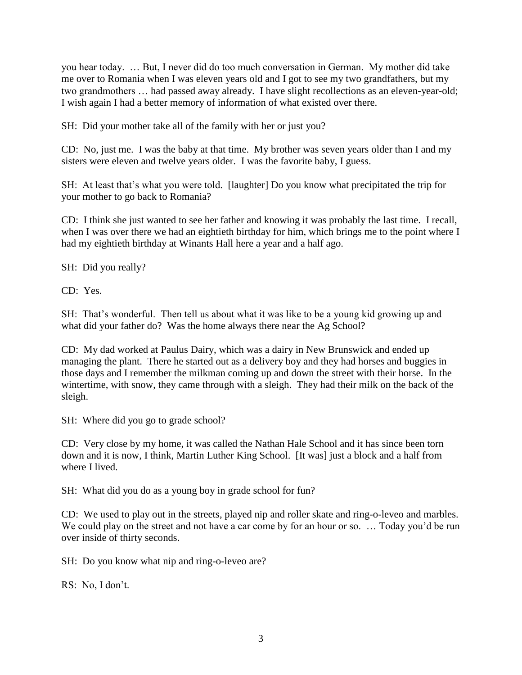you hear today. … But, I never did do too much conversation in German. My mother did take me over to Romania when I was eleven years old and I got to see my two grandfathers, but my two grandmothers … had passed away already. I have slight recollections as an eleven-year-old; I wish again I had a better memory of information of what existed over there.

SH: Did your mother take all of the family with her or just you?

CD: No, just me. I was the baby at that time. My brother was seven years older than I and my sisters were eleven and twelve years older. I was the favorite baby, I guess.

SH: At least that's what you were told. [laughter] Do you know what precipitated the trip for your mother to go back to Romania?

CD: I think she just wanted to see her father and knowing it was probably the last time. I recall, when I was over there we had an eightieth birthday for him, which brings me to the point where I had my eightieth birthday at Winants Hall here a year and a half ago.

SH: Did you really?

CD: Yes.

SH: That's wonderful. Then tell us about what it was like to be a young kid growing up and what did your father do? Was the home always there near the Ag School?

CD: My dad worked at Paulus Dairy, which was a dairy in New Brunswick and ended up managing the plant. There he started out as a delivery boy and they had horses and buggies in those days and I remember the milkman coming up and down the street with their horse. In the wintertime, with snow, they came through with a sleigh. They had their milk on the back of the sleigh.

SH: Where did you go to grade school?

CD: Very close by my home, it was called the Nathan Hale School and it has since been torn down and it is now, I think, Martin Luther King School. [It was] just a block and a half from where I lived.

SH: What did you do as a young boy in grade school for fun?

CD: We used to play out in the streets, played nip and roller skate and ring-o-leveo and marbles. We could play on the street and not have a car come by for an hour or so. ... Today you'd be run over inside of thirty seconds.

SH: Do you know what nip and ring-o-leveo are?

RS: No, I don't.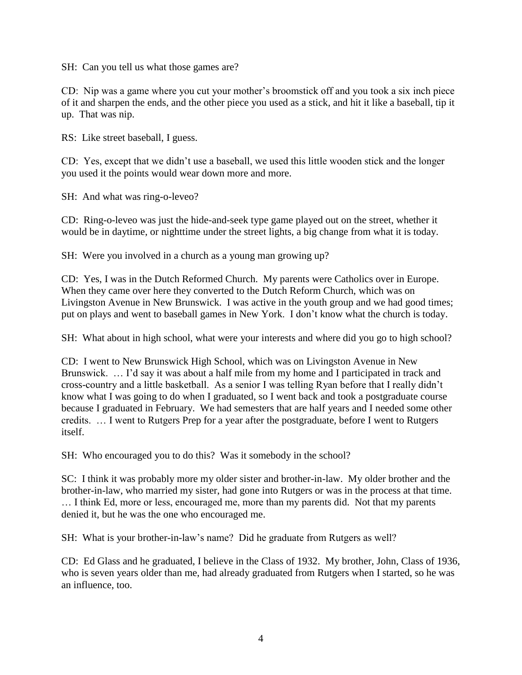SH: Can you tell us what those games are?

CD: Nip was a game where you cut your mother's broomstick off and you took a six inch piece of it and sharpen the ends, and the other piece you used as a stick, and hit it like a baseball, tip it up. That was nip.

RS: Like street baseball, I guess.

CD: Yes, except that we didn't use a baseball, we used this little wooden stick and the longer you used it the points would wear down more and more.

SH: And what was ring-o-leveo?

CD: Ring-o-leveo was just the hide-and-seek type game played out on the street, whether it would be in daytime, or nighttime under the street lights, a big change from what it is today.

SH: Were you involved in a church as a young man growing up?

CD: Yes, I was in the Dutch Reformed Church. My parents were Catholics over in Europe. When they came over here they converted to the Dutch Reform Church, which was on Livingston Avenue in New Brunswick. I was active in the youth group and we had good times; put on plays and went to baseball games in New York. I don't know what the church is today.

SH: What about in high school, what were your interests and where did you go to high school?

CD: I went to New Brunswick High School, which was on Livingston Avenue in New Brunswick. … I'd say it was about a half mile from my home and I participated in track and cross-country and a little basketball. As a senior I was telling Ryan before that I really didn't know what I was going to do when I graduated, so I went back and took a postgraduate course because I graduated in February. We had semesters that are half years and I needed some other credits. … I went to Rutgers Prep for a year after the postgraduate, before I went to Rutgers itself.

SH: Who encouraged you to do this? Was it somebody in the school?

SC: I think it was probably more my older sister and brother-in-law. My older brother and the brother-in-law, who married my sister, had gone into Rutgers or was in the process at that time. … I think Ed, more or less, encouraged me, more than my parents did. Not that my parents denied it, but he was the one who encouraged me.

SH: What is your brother-in-law's name? Did he graduate from Rutgers as well?

CD: Ed Glass and he graduated, I believe in the Class of 1932. My brother, John, Class of 1936, who is seven years older than me, had already graduated from Rutgers when I started, so he was an influence, too.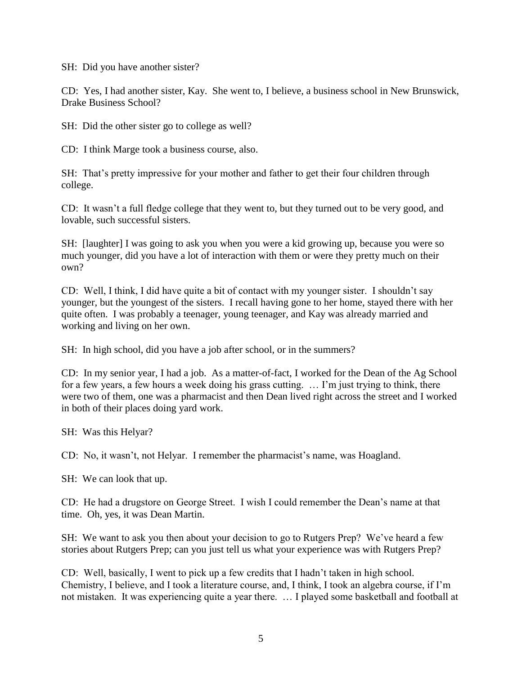SH: Did you have another sister?

CD: Yes, I had another sister, Kay. She went to, I believe, a business school in New Brunswick, Drake Business School?

SH: Did the other sister go to college as well?

CD: I think Marge took a business course, also.

SH: That's pretty impressive for your mother and father to get their four children through college.

CD: It wasn't a full fledge college that they went to, but they turned out to be very good, and lovable, such successful sisters.

SH: [laughter] I was going to ask you when you were a kid growing up, because you were so much younger, did you have a lot of interaction with them or were they pretty much on their own?

CD: Well, I think, I did have quite a bit of contact with my younger sister. I shouldn't say younger, but the youngest of the sisters. I recall having gone to her home, stayed there with her quite often. I was probably a teenager, young teenager, and Kay was already married and working and living on her own.

SH: In high school, did you have a job after school, or in the summers?

CD: In my senior year, I had a job. As a matter-of-fact, I worked for the Dean of the Ag School for a few years, a few hours a week doing his grass cutting. … I'm just trying to think, there were two of them, one was a pharmacist and then Dean lived right across the street and I worked in both of their places doing yard work.

SH: Was this Helyar?

CD: No, it wasn't, not Helyar. I remember the pharmacist's name, was Hoagland.

SH: We can look that up.

CD: He had a drugstore on George Street. I wish I could remember the Dean's name at that time. Oh, yes, it was Dean Martin.

SH: We want to ask you then about your decision to go to Rutgers Prep? We've heard a few stories about Rutgers Prep; can you just tell us what your experience was with Rutgers Prep?

CD: Well, basically, I went to pick up a few credits that I hadn't taken in high school. Chemistry, I believe, and I took a literature course, and, I think, I took an algebra course, if I'm not mistaken. It was experiencing quite a year there. … I played some basketball and football at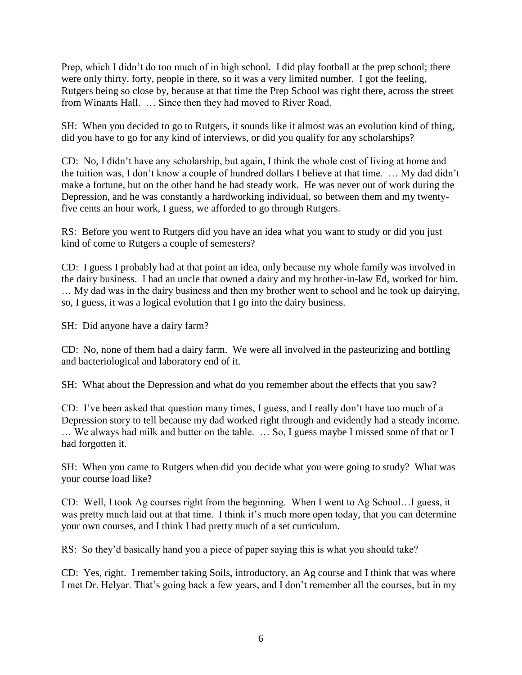Prep, which I didn't do too much of in high school. I did play football at the prep school; there were only thirty, forty, people in there, so it was a very limited number. I got the feeling, Rutgers being so close by, because at that time the Prep School was right there, across the street from Winants Hall. … Since then they had moved to River Road.

SH: When you decided to go to Rutgers, it sounds like it almost was an evolution kind of thing, did you have to go for any kind of interviews, or did you qualify for any scholarships?

CD: No, I didn't have any scholarship, but again, I think the whole cost of living at home and the tuition was, I don't know a couple of hundred dollars I believe at that time. … My dad didn't make a fortune, but on the other hand he had steady work. He was never out of work during the Depression, and he was constantly a hardworking individual, so between them and my twentyfive cents an hour work, I guess, we afforded to go through Rutgers.

RS: Before you went to Rutgers did you have an idea what you want to study or did you just kind of come to Rutgers a couple of semesters?

CD: I guess I probably had at that point an idea, only because my whole family was involved in the dairy business. I had an uncle that owned a dairy and my brother-in-law Ed, worked for him. … My dad was in the dairy business and then my brother went to school and he took up dairying, so, I guess, it was a logical evolution that I go into the dairy business.

SH: Did anyone have a dairy farm?

CD: No, none of them had a dairy farm. We were all involved in the pasteurizing and bottling and bacteriological and laboratory end of it.

SH: What about the Depression and what do you remember about the effects that you saw?

CD: I've been asked that question many times, I guess, and I really don't have too much of a Depression story to tell because my dad worked right through and evidently had a steady income. … We always had milk and butter on the table. … So, I guess maybe I missed some of that or I had forgotten it.

SH: When you came to Rutgers when did you decide what you were going to study? What was your course load like?

CD: Well, I took Ag courses right from the beginning. When I went to Ag School…I guess, it was pretty much laid out at that time. I think it's much more open today, that you can determine your own courses, and I think I had pretty much of a set curriculum.

RS: So they'd basically hand you a piece of paper saying this is what you should take?

CD: Yes, right. I remember taking Soils, introductory, an Ag course and I think that was where I met Dr. Helyar. That's going back a few years, and I don't remember all the courses, but in my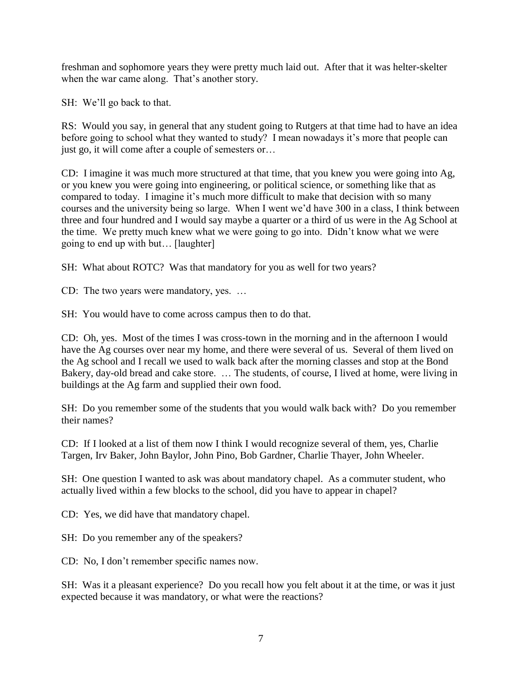freshman and sophomore years they were pretty much laid out. After that it was helter-skelter when the war came along. That's another story.

SH: We'll go back to that.

RS: Would you say, in general that any student going to Rutgers at that time had to have an idea before going to school what they wanted to study? I mean nowadays it's more that people can just go, it will come after a couple of semesters or…

CD: I imagine it was much more structured at that time, that you knew you were going into Ag, or you knew you were going into engineering, or political science, or something like that as compared to today. I imagine it's much more difficult to make that decision with so many courses and the university being so large. When I went we'd have 300 in a class, I think between three and four hundred and I would say maybe a quarter or a third of us were in the Ag School at the time. We pretty much knew what we were going to go into. Didn't know what we were going to end up with but… [laughter]

SH: What about ROTC? Was that mandatory for you as well for two years?

CD: The two years were mandatory, yes. …

SH: You would have to come across campus then to do that.

CD: Oh, yes. Most of the times I was cross-town in the morning and in the afternoon I would have the Ag courses over near my home, and there were several of us. Several of them lived on the Ag school and I recall we used to walk back after the morning classes and stop at the Bond Bakery, day-old bread and cake store. … The students, of course, I lived at home, were living in buildings at the Ag farm and supplied their own food.

SH: Do you remember some of the students that you would walk back with? Do you remember their names?

CD: If I looked at a list of them now I think I would recognize several of them, yes, Charlie Targen, Irv Baker, John Baylor, John Pino, Bob Gardner, Charlie Thayer, John Wheeler.

SH: One question I wanted to ask was about mandatory chapel. As a commuter student, who actually lived within a few blocks to the school, did you have to appear in chapel?

CD: Yes, we did have that mandatory chapel.

SH: Do you remember any of the speakers?

CD: No, I don't remember specific names now.

SH: Was it a pleasant experience? Do you recall how you felt about it at the time, or was it just expected because it was mandatory, or what were the reactions?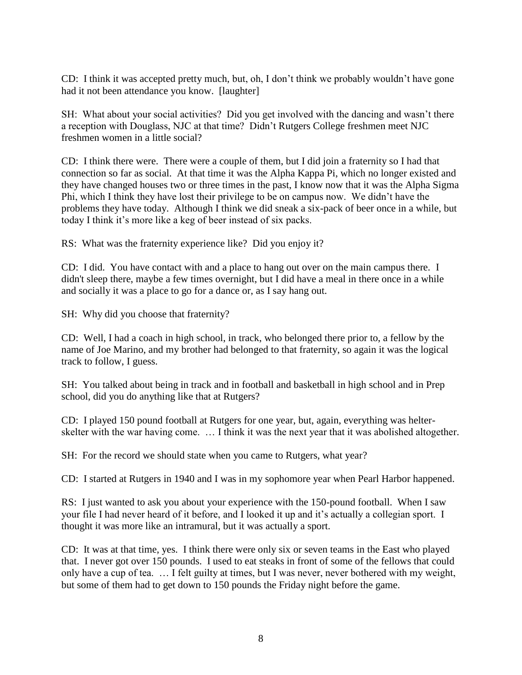CD: I think it was accepted pretty much, but, oh, I don't think we probably wouldn't have gone had it not been attendance you know. [laughter]

SH: What about your social activities? Did you get involved with the dancing and wasn't there a reception with Douglass, NJC at that time? Didn't Rutgers College freshmen meet NJC freshmen women in a little social?

CD: I think there were. There were a couple of them, but I did join a fraternity so I had that connection so far as social. At that time it was the Alpha Kappa Pi, which no longer existed and they have changed houses two or three times in the past, I know now that it was the Alpha Sigma Phi, which I think they have lost their privilege to be on campus now. We didn't have the problems they have today. Although I think we did sneak a six-pack of beer once in a while, but today I think it's more like a keg of beer instead of six packs.

RS: What was the fraternity experience like? Did you enjoy it?

CD: I did. You have contact with and a place to hang out over on the main campus there. I didn't sleep there, maybe a few times overnight, but I did have a meal in there once in a while and socially it was a place to go for a dance or, as I say hang out.

SH: Why did you choose that fraternity?

CD: Well, I had a coach in high school, in track, who belonged there prior to, a fellow by the name of Joe Marino, and my brother had belonged to that fraternity, so again it was the logical track to follow, I guess.

SH: You talked about being in track and in football and basketball in high school and in Prep school, did you do anything like that at Rutgers?

CD: I played 150 pound football at Rutgers for one year, but, again, everything was helterskelter with the war having come. … I think it was the next year that it was abolished altogether.

SH: For the record we should state when you came to Rutgers, what year?

CD: I started at Rutgers in 1940 and I was in my sophomore year when Pearl Harbor happened.

RS: I just wanted to ask you about your experience with the 150-pound football. When I saw your file I had never heard of it before, and I looked it up and it's actually a collegian sport. I thought it was more like an intramural, but it was actually a sport.

CD: It was at that time, yes. I think there were only six or seven teams in the East who played that. I never got over 150 pounds. I used to eat steaks in front of some of the fellows that could only have a cup of tea. … I felt guilty at times, but I was never, never bothered with my weight, but some of them had to get down to 150 pounds the Friday night before the game.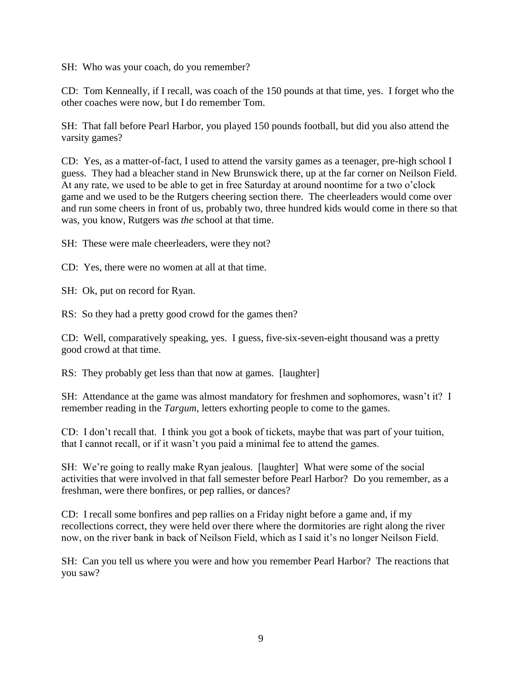SH: Who was your coach, do you remember?

CD: Tom Kenneally, if I recall, was coach of the 150 pounds at that time, yes. I forget who the other coaches were now, but I do remember Tom.

SH: That fall before Pearl Harbor, you played 150 pounds football, but did you also attend the varsity games?

CD: Yes, as a matter-of-fact, I used to attend the varsity games as a teenager, pre-high school I guess. They had a bleacher stand in New Brunswick there, up at the far corner on Neilson Field. At any rate, we used to be able to get in free Saturday at around noontime for a two o'clock game and we used to be the Rutgers cheering section there. The cheerleaders would come over and run some cheers in front of us, probably two, three hundred kids would come in there so that was, you know, Rutgers was *the* school at that time.

SH: These were male cheerleaders, were they not?

CD: Yes, there were no women at all at that time.

SH: Ok, put on record for Ryan.

RS: So they had a pretty good crowd for the games then?

CD: Well, comparatively speaking, yes. I guess, five-six-seven-eight thousand was a pretty good crowd at that time.

RS: They probably get less than that now at games. [laughter]

SH: Attendance at the game was almost mandatory for freshmen and sophomores, wasn't it? I remember reading in the *Targum*, letters exhorting people to come to the games.

CD: I don't recall that. I think you got a book of tickets, maybe that was part of your tuition, that I cannot recall, or if it wasn't you paid a minimal fee to attend the games.

SH: We're going to really make Ryan jealous. [laughter] What were some of the social activities that were involved in that fall semester before Pearl Harbor? Do you remember, as a freshman, were there bonfires, or pep rallies, or dances?

CD: I recall some bonfires and pep rallies on a Friday night before a game and, if my recollections correct, they were held over there where the dormitories are right along the river now, on the river bank in back of Neilson Field, which as I said it's no longer Neilson Field.

SH: Can you tell us where you were and how you remember Pearl Harbor? The reactions that you saw?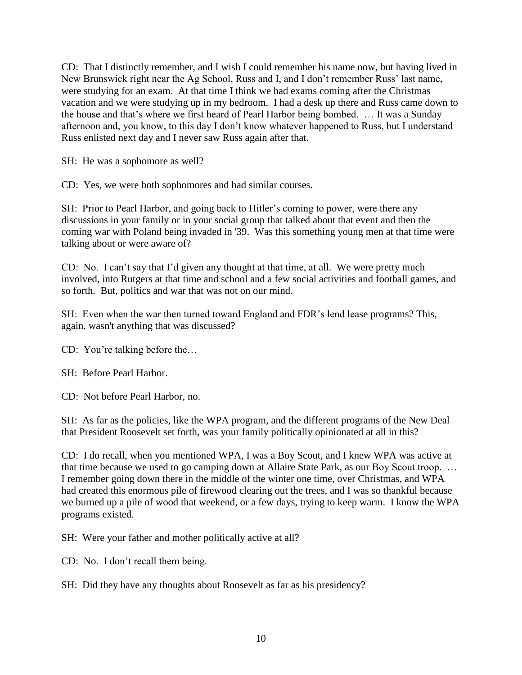CD: That I distinctly remember, and I wish I could remember his name now, but having lived in New Brunswick right near the Ag School, Russ and I, and I don't remember Russ' last name, were studying for an exam. At that time I think we had exams coming after the Christmas vacation and we were studying up in my bedroom. I had a desk up there and Russ came down to the house and that's where we first heard of Pearl Harbor being bombed. … It was a Sunday afternoon and, you know, to this day I don't know whatever happened to Russ, but I understand Russ enlisted next day and I never saw Russ again after that.

SH: He was a sophomore as well?

CD: Yes, we were both sophomores and had similar courses.

SH: Prior to Pearl Harbor, and going back to Hitler's coming to power, were there any discussions in your family or in your social group that talked about that event and then the coming war with Poland being invaded in '39. Was this something young men at that time were talking about or were aware of?

CD: No. I can't say that I'd given any thought at that time, at all. We were pretty much involved, into Rutgers at that time and school and a few social activities and football games, and so forth. But, politics and war that was not on our mind.

SH: Even when the war then turned toward England and FDR's lend lease programs? This, again, wasn't anything that was discussed?

CD: You're talking before the…

SH: Before Pearl Harbor.

CD: Not before Pearl Harbor, no.

SH: As far as the policies, like the WPA program, and the different programs of the New Deal that President Roosevelt set forth, was your family politically opinionated at all in this?

CD: I do recall, when you mentioned WPA, I was a Boy Scout, and I knew WPA was active at that time because we used to go camping down at Allaire State Park, as our Boy Scout troop. … I remember going down there in the middle of the winter one time, over Christmas, and WPA had created this enormous pile of firewood clearing out the trees, and I was so thankful because we burned up a pile of wood that weekend, or a few days, trying to keep warm. I know the WPA programs existed.

SH: Were your father and mother politically active at all?

CD: No. I don't recall them being.

SH: Did they have any thoughts about Roosevelt as far as his presidency?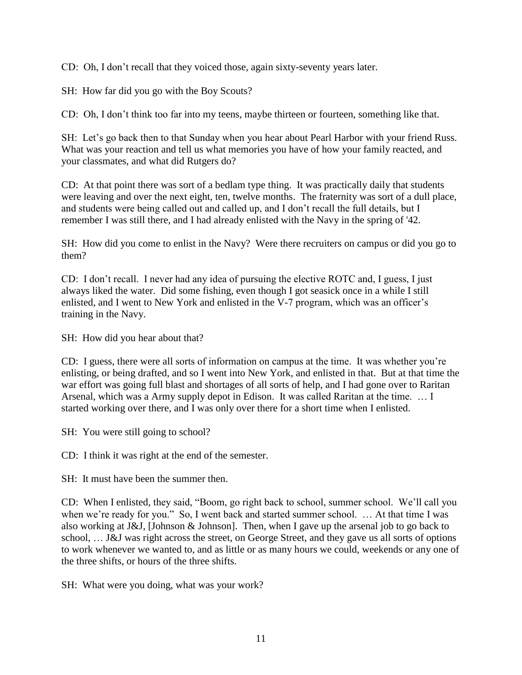CD: Oh, I don't recall that they voiced those, again sixty-seventy years later.

SH: How far did you go with the Boy Scouts?

CD: Oh, I don't think too far into my teens, maybe thirteen or fourteen, something like that.

SH: Let's go back then to that Sunday when you hear about Pearl Harbor with your friend Russ. What was your reaction and tell us what memories you have of how your family reacted, and your classmates, and what did Rutgers do?

CD: At that point there was sort of a bedlam type thing. It was practically daily that students were leaving and over the next eight, ten, twelve months. The fraternity was sort of a dull place, and students were being called out and called up, and I don't recall the full details, but I remember I was still there, and I had already enlisted with the Navy in the spring of '42.

SH: How did you come to enlist in the Navy? Were there recruiters on campus or did you go to them?

CD: I don't recall. I never had any idea of pursuing the elective ROTC and, I guess, I just always liked the water. Did some fishing, even though I got seasick once in a while I still enlisted, and I went to New York and enlisted in the V-7 program, which was an officer's training in the Navy.

SH: How did you hear about that?

CD: I guess, there were all sorts of information on campus at the time. It was whether you're enlisting, or being drafted, and so I went into New York, and enlisted in that. But at that time the war effort was going full blast and shortages of all sorts of help, and I had gone over to Raritan Arsenal, which was a Army supply depot in Edison. It was called Raritan at the time. … I started working over there, and I was only over there for a short time when I enlisted.

SH: You were still going to school?

CD: I think it was right at the end of the semester.

SH: It must have been the summer then.

CD: When I enlisted, they said, "Boom, go right back to school, summer school. We'll call you when we're ready for you." So, I went back and started summer school. ... At that time I was also working at J&J, [Johnson & Johnson]. Then, when I gave up the arsenal job to go back to school, … J&J was right across the street, on George Street, and they gave us all sorts of options to work whenever we wanted to, and as little or as many hours we could, weekends or any one of the three shifts, or hours of the three shifts.

SH: What were you doing, what was your work?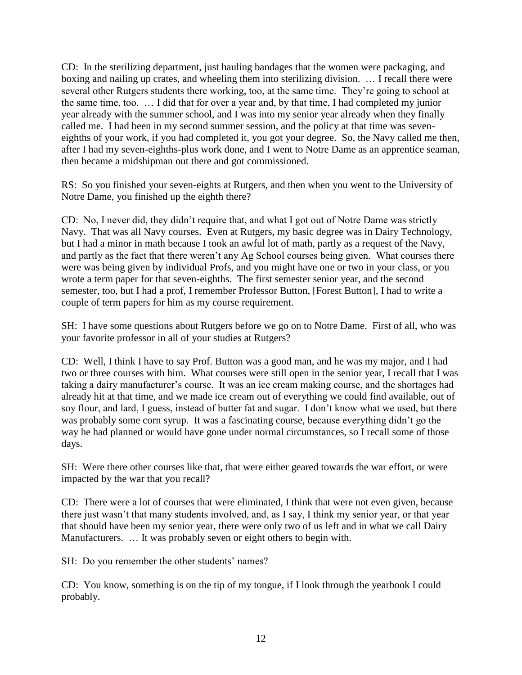CD: In the sterilizing department, just hauling bandages that the women were packaging, and boxing and nailing up crates, and wheeling them into sterilizing division. … I recall there were several other Rutgers students there working, too, at the same time. They're going to school at the same time, too. … I did that for over a year and, by that time, I had completed my junior year already with the summer school, and I was into my senior year already when they finally called me. I had been in my second summer session, and the policy at that time was seveneighths of your work, if you had completed it, you got your degree. So, the Navy called me then, after I had my seven-eighths-plus work done, and I went to Notre Dame as an apprentice seaman, then became a midshipman out there and got commissioned.

RS: So you finished your seven-eights at Rutgers, and then when you went to the University of Notre Dame, you finished up the eighth there?

CD: No, I never did, they didn't require that, and what I got out of Notre Dame was strictly Navy. That was all Navy courses. Even at Rutgers, my basic degree was in Dairy Technology, but I had a minor in math because I took an awful lot of math, partly as a request of the Navy, and partly as the fact that there weren't any Ag School courses being given. What courses there were was being given by individual Profs, and you might have one or two in your class, or you wrote a term paper for that seven-eighths. The first semester senior year, and the second semester, too, but I had a prof, I remember Professor Button, [Forest Button], I had to write a couple of term papers for him as my course requirement.

SH: I have some questions about Rutgers before we go on to Notre Dame. First of all, who was your favorite professor in all of your studies at Rutgers?

CD: Well, I think I have to say Prof. Button was a good man, and he was my major, and I had two or three courses with him. What courses were still open in the senior year, I recall that I was taking a dairy manufacturer's course. It was an ice cream making course, and the shortages had already hit at that time, and we made ice cream out of everything we could find available, out of soy flour, and lard, I guess, instead of butter fat and sugar. I don't know what we used, but there was probably some corn syrup. It was a fascinating course, because everything didn't go the way he had planned or would have gone under normal circumstances, so I recall some of those days.

SH: Were there other courses like that, that were either geared towards the war effort, or were impacted by the war that you recall?

CD: There were a lot of courses that were eliminated, I think that were not even given, because there just wasn't that many students involved, and, as I say, I think my senior year, or that year that should have been my senior year, there were only two of us left and in what we call Dairy Manufacturers. … It was probably seven or eight others to begin with.

SH: Do you remember the other students' names?

CD: You know, something is on the tip of my tongue, if I look through the yearbook I could probably.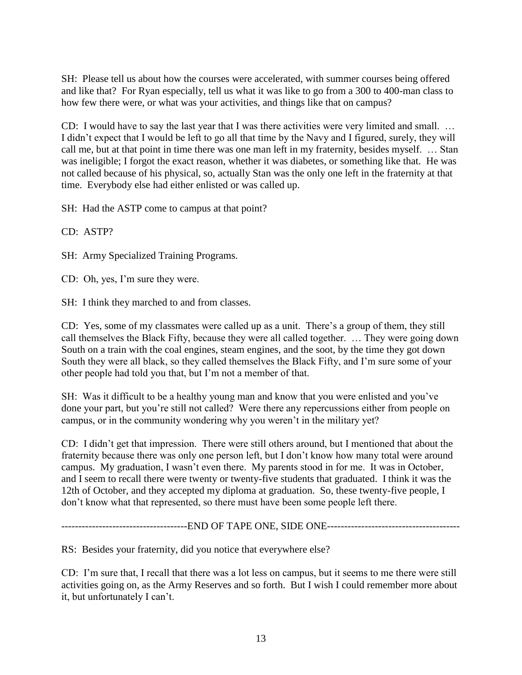SH: Please tell us about how the courses were accelerated, with summer courses being offered and like that? For Ryan especially, tell us what it was like to go from a 300 to 400-man class to how few there were, or what was your activities, and things like that on campus?

CD: I would have to say the last year that I was there activities were very limited and small. … I didn't expect that I would be left to go all that time by the Navy and I figured, surely, they will call me, but at that point in time there was one man left in my fraternity, besides myself. … Stan was ineligible; I forgot the exact reason, whether it was diabetes, or something like that. He was not called because of his physical, so, actually Stan was the only one left in the fraternity at that time. Everybody else had either enlisted or was called up.

SH: Had the ASTP come to campus at that point?

CD: ASTP?

SH: Army Specialized Training Programs.

CD: Oh, yes, I'm sure they were.

SH: I think they marched to and from classes.

CD: Yes, some of my classmates were called up as a unit. There's a group of them, they still call themselves the Black Fifty, because they were all called together. … They were going down South on a train with the coal engines, steam engines, and the soot, by the time they got down South they were all black, so they called themselves the Black Fifty, and I'm sure some of your other people had told you that, but I'm not a member of that.

SH: Was it difficult to be a healthy young man and know that you were enlisted and you've done your part, but you're still not called? Were there any repercussions either from people on campus, or in the community wondering why you weren't in the military yet?

CD: I didn't get that impression. There were still others around, but I mentioned that about the fraternity because there was only one person left, but I don't know how many total were around campus. My graduation, I wasn't even there. My parents stood in for me. It was in October, and I seem to recall there were twenty or twenty-five students that graduated. I think it was the 12th of October, and they accepted my diploma at graduation. So, these twenty-five people, I don't know what that represented, so there must have been some people left there.

---------------------------END OF TAPE ONE, SIDE ONE----------------------------------

RS: Besides your fraternity, did you notice that everywhere else?

CD: I'm sure that, I recall that there was a lot less on campus, but it seems to me there were still activities going on, as the Army Reserves and so forth. But I wish I could remember more about it, but unfortunately I can't.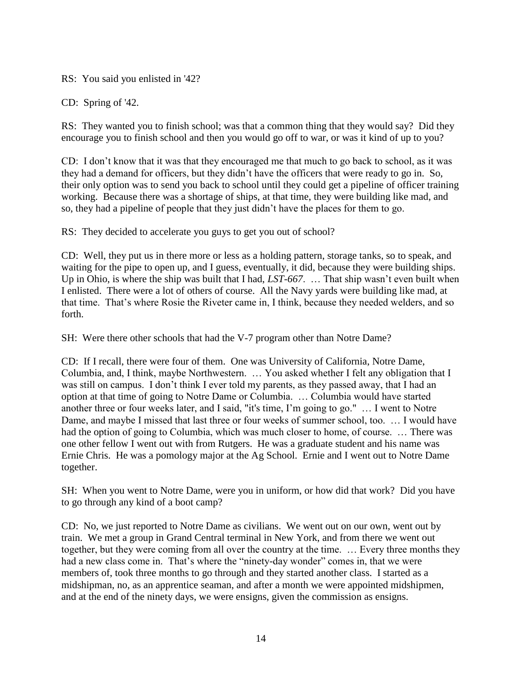RS: You said you enlisted in '42?

CD: Spring of '42.

RS: They wanted you to finish school; was that a common thing that they would say? Did they encourage you to finish school and then you would go off to war, or was it kind of up to you?

CD: I don't know that it was that they encouraged me that much to go back to school, as it was they had a demand for officers, but they didn't have the officers that were ready to go in. So, their only option was to send you back to school until they could get a pipeline of officer training working. Because there was a shortage of ships, at that time, they were building like mad, and so, they had a pipeline of people that they just didn't have the places for them to go.

RS: They decided to accelerate you guys to get you out of school?

CD: Well, they put us in there more or less as a holding pattern, storage tanks, so to speak, and waiting for the pipe to open up, and I guess, eventually, it did, because they were building ships. Up in Ohio, is where the ship was built that I had, *LST-667*. … That ship wasn't even built when I enlisted. There were a lot of others of course. All the Navy yards were building like mad, at that time. That's where Rosie the Riveter came in, I think, because they needed welders, and so forth.

SH: Were there other schools that had the V-7 program other than Notre Dame?

CD: If I recall, there were four of them. One was University of California, Notre Dame, Columbia, and, I think, maybe Northwestern. … You asked whether I felt any obligation that I was still on campus. I don't think I ever told my parents, as they passed away, that I had an option at that time of going to Notre Dame or Columbia. … Columbia would have started another three or four weeks later, and I said, "it's time, I'm going to go." … I went to Notre Dame, and maybe I missed that last three or four weeks of summer school, too. … I would have had the option of going to Columbia, which was much closer to home, of course. … There was one other fellow I went out with from Rutgers. He was a graduate student and his name was Ernie Chris. He was a pomology major at the Ag School. Ernie and I went out to Notre Dame together.

SH: When you went to Notre Dame, were you in uniform, or how did that work? Did you have to go through any kind of a boot camp?

CD: No, we just reported to Notre Dame as civilians. We went out on our own, went out by train. We met a group in Grand Central terminal in New York, and from there we went out together, but they were coming from all over the country at the time. … Every three months they had a new class come in. That's where the "ninety-day wonder" comes in, that we were members of, took three months to go through and they started another class. I started as a midshipman, no, as an apprentice seaman, and after a month we were appointed midshipmen, and at the end of the ninety days, we were ensigns, given the commission as ensigns.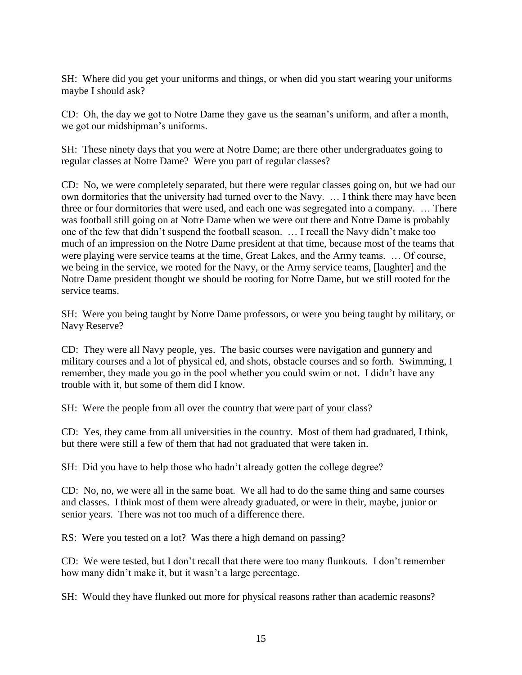SH: Where did you get your uniforms and things, or when did you start wearing your uniforms maybe I should ask?

CD: Oh, the day we got to Notre Dame they gave us the seaman's uniform, and after a month, we got our midshipman's uniforms.

SH: These ninety days that you were at Notre Dame; are there other undergraduates going to regular classes at Notre Dame? Were you part of regular classes?

CD: No, we were completely separated, but there were regular classes going on, but we had our own dormitories that the university had turned over to the Navy. … I think there may have been three or four dormitories that were used, and each one was segregated into a company. … There was football still going on at Notre Dame when we were out there and Notre Dame is probably one of the few that didn't suspend the football season. … I recall the Navy didn't make too much of an impression on the Notre Dame president at that time, because most of the teams that were playing were service teams at the time, Great Lakes, and the Army teams. … Of course, we being in the service, we rooted for the Navy, or the Army service teams, [laughter] and the Notre Dame president thought we should be rooting for Notre Dame, but we still rooted for the service teams.

SH: Were you being taught by Notre Dame professors, or were you being taught by military, or Navy Reserve?

CD: They were all Navy people, yes. The basic courses were navigation and gunnery and military courses and a lot of physical ed, and shots, obstacle courses and so forth. Swimming, I remember, they made you go in the pool whether you could swim or not. I didn't have any trouble with it, but some of them did I know.

SH: Were the people from all over the country that were part of your class?

CD: Yes, they came from all universities in the country. Most of them had graduated, I think, but there were still a few of them that had not graduated that were taken in.

SH: Did you have to help those who hadn't already gotten the college degree?

CD: No, no, we were all in the same boat. We all had to do the same thing and same courses and classes. I think most of them were already graduated, or were in their, maybe, junior or senior years. There was not too much of a difference there.

RS: Were you tested on a lot? Was there a high demand on passing?

CD: We were tested, but I don't recall that there were too many flunkouts. I don't remember how many didn't make it, but it wasn't a large percentage.

SH: Would they have flunked out more for physical reasons rather than academic reasons?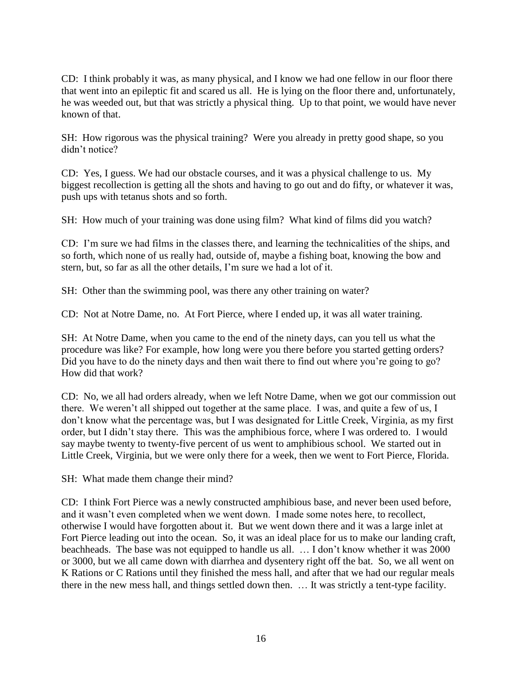CD: I think probably it was, as many physical, and I know we had one fellow in our floor there that went into an epileptic fit and scared us all. He is lying on the floor there and, unfortunately, he was weeded out, but that was strictly a physical thing. Up to that point, we would have never known of that.

SH: How rigorous was the physical training? Were you already in pretty good shape, so you didn't notice?

CD: Yes, I guess. We had our obstacle courses, and it was a physical challenge to us. My biggest recollection is getting all the shots and having to go out and do fifty, or whatever it was, push ups with tetanus shots and so forth.

SH: How much of your training was done using film? What kind of films did you watch?

CD: I'm sure we had films in the classes there, and learning the technicalities of the ships, and so forth, which none of us really had, outside of, maybe a fishing boat, knowing the bow and stern, but, so far as all the other details, I'm sure we had a lot of it.

SH: Other than the swimming pool, was there any other training on water?

CD: Not at Notre Dame, no. At Fort Pierce, where I ended up, it was all water training.

SH: At Notre Dame, when you came to the end of the ninety days, can you tell us what the procedure was like? For example, how long were you there before you started getting orders? Did you have to do the ninety days and then wait there to find out where you're going to go? How did that work?

CD: No, we all had orders already, when we left Notre Dame, when we got our commission out there. We weren't all shipped out together at the same place. I was, and quite a few of us, I don't know what the percentage was, but I was designated for Little Creek, Virginia, as my first order, but I didn't stay there. This was the amphibious force, where I was ordered to. I would say maybe twenty to twenty-five percent of us went to amphibious school. We started out in Little Creek, Virginia, but we were only there for a week, then we went to Fort Pierce, Florida.

SH: What made them change their mind?

CD: I think Fort Pierce was a newly constructed amphibious base, and never been used before, and it wasn't even completed when we went down. I made some notes here, to recollect, otherwise I would have forgotten about it. But we went down there and it was a large inlet at Fort Pierce leading out into the ocean. So, it was an ideal place for us to make our landing craft, beachheads. The base was not equipped to handle us all. … I don't know whether it was 2000 or 3000, but we all came down with diarrhea and dysentery right off the bat. So, we all went on K Rations or C Rations until they finished the mess hall, and after that we had our regular meals there in the new mess hall, and things settled down then. … It was strictly a tent-type facility.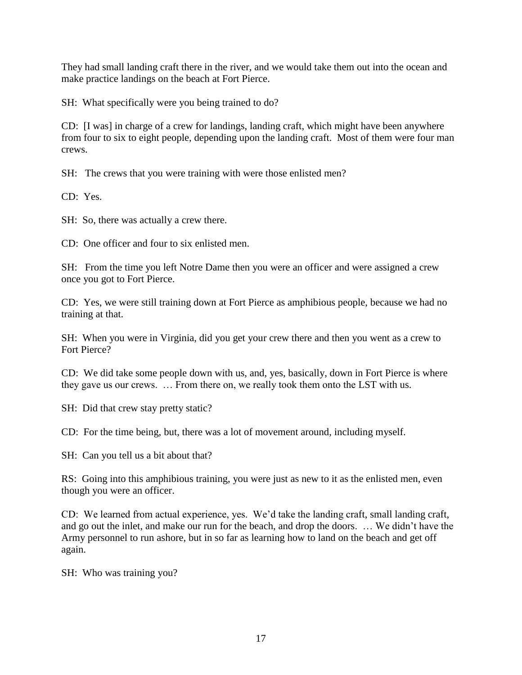They had small landing craft there in the river, and we would take them out into the ocean and make practice landings on the beach at Fort Pierce.

SH: What specifically were you being trained to do?

CD: [I was] in charge of a crew for landings, landing craft, which might have been anywhere from four to six to eight people, depending upon the landing craft. Most of them were four man crews.

SH: The crews that you were training with were those enlisted men?

CD: Yes.

SH: So, there was actually a crew there.

CD: One officer and four to six enlisted men.

SH: From the time you left Notre Dame then you were an officer and were assigned a crew once you got to Fort Pierce.

CD: Yes, we were still training down at Fort Pierce as amphibious people, because we had no training at that.

SH: When you were in Virginia, did you get your crew there and then you went as a crew to Fort Pierce?

CD: We did take some people down with us, and, yes, basically, down in Fort Pierce is where they gave us our crews. … From there on, we really took them onto the LST with us.

SH: Did that crew stay pretty static?

CD: For the time being, but, there was a lot of movement around, including myself.

SH: Can you tell us a bit about that?

RS: Going into this amphibious training, you were just as new to it as the enlisted men, even though you were an officer.

CD: We learned from actual experience, yes. We'd take the landing craft, small landing craft, and go out the inlet, and make our run for the beach, and drop the doors. … We didn't have the Army personnel to run ashore, but in so far as learning how to land on the beach and get off again.

SH: Who was training you?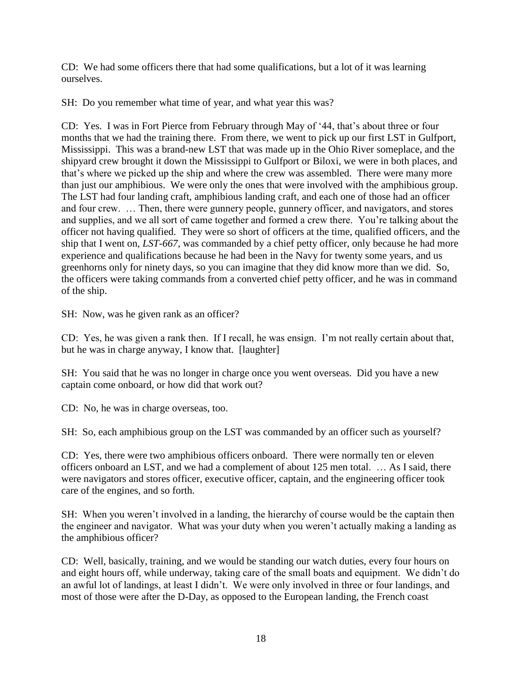CD: We had some officers there that had some qualifications, but a lot of it was learning ourselves.

SH: Do you remember what time of year, and what year this was?

CD: Yes. I was in Fort Pierce from February through May of '44, that's about three or four months that we had the training there. From there, we went to pick up our first LST in Gulfport, Mississippi. This was a brand-new LST that was made up in the Ohio River someplace, and the shipyard crew brought it down the Mississippi to Gulfport or Biloxi, we were in both places, and that's where we picked up the ship and where the crew was assembled. There were many more than just our amphibious. We were only the ones that were involved with the amphibious group. The LST had four landing craft, amphibious landing craft, and each one of those had an officer and four crew. … Then, there were gunnery people, gunnery officer, and navigators, and stores and supplies, and we all sort of came together and formed a crew there. You're talking about the officer not having qualified. They were so short of officers at the time, qualified officers, and the ship that I went on, *LST-667*, was commanded by a chief petty officer, only because he had more experience and qualifications because he had been in the Navy for twenty some years, and us greenhorns only for ninety days, so you can imagine that they did know more than we did. So, the officers were taking commands from a converted chief petty officer, and he was in command of the ship.

SH: Now, was he given rank as an officer?

CD: Yes, he was given a rank then. If I recall, he was ensign. I'm not really certain about that, but he was in charge anyway, I know that. [laughter]

SH: You said that he was no longer in charge once you went overseas. Did you have a new captain come onboard, or how did that work out?

CD: No, he was in charge overseas, too.

SH: So, each amphibious group on the LST was commanded by an officer such as yourself?

CD: Yes, there were two amphibious officers onboard. There were normally ten or eleven officers onboard an LST, and we had a complement of about 125 men total. … As I said, there were navigators and stores officer, executive officer, captain, and the engineering officer took care of the engines, and so forth.

SH: When you weren't involved in a landing, the hierarchy of course would be the captain then the engineer and navigator. What was your duty when you weren't actually making a landing as the amphibious officer?

CD: Well, basically, training, and we would be standing our watch duties, every four hours on and eight hours off, while underway, taking care of the small boats and equipment. We didn't do an awful lot of landings, at least I didn't. We were only involved in three or four landings, and most of those were after the D-Day, as opposed to the European landing, the French coast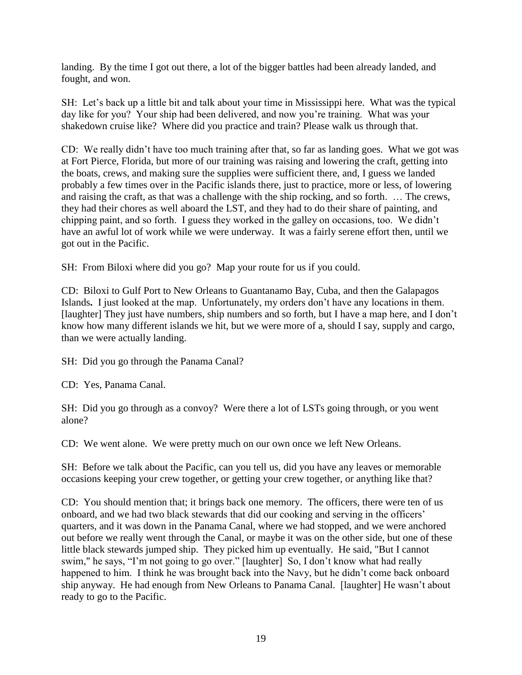landing. By the time I got out there, a lot of the bigger battles had been already landed, and fought, and won.

SH: Let's back up a little bit and talk about your time in Mississippi here. What was the typical day like for you? Your ship had been delivered, and now you're training. What was your shakedown cruise like? Where did you practice and train? Please walk us through that.

CD: We really didn't have too much training after that, so far as landing goes. What we got was at Fort Pierce, Florida, but more of our training was raising and lowering the craft, getting into the boats, crews, and making sure the supplies were sufficient there, and, I guess we landed probably a few times over in the Pacific islands there, just to practice, more or less, of lowering and raising the craft, as that was a challenge with the ship rocking, and so forth. … The crews, they had their chores as well aboard the LST, and they had to do their share of painting, and chipping paint, and so forth. I guess they worked in the galley on occasions, too. We didn't have an awful lot of work while we were underway. It was a fairly serene effort then, until we got out in the Pacific.

SH: From Biloxi where did you go? Map your route for us if you could.

CD: Biloxi to Gulf Port to New Orleans to Guantanamo Bay, Cuba, and then the Galapagos Islands**.** I just looked at the map. Unfortunately, my orders don't have any locations in them. [laughter] They just have numbers, ship numbers and so forth, but I have a map here, and I don't know how many different islands we hit, but we were more of a, should I say, supply and cargo, than we were actually landing.

SH: Did you go through the Panama Canal?

CD: Yes, Panama Canal.

SH: Did you go through as a convoy? Were there a lot of LSTs going through, or you went alone?

CD: We went alone. We were pretty much on our own once we left New Orleans.

SH: Before we talk about the Pacific, can you tell us, did you have any leaves or memorable occasions keeping your crew together, or getting your crew together, or anything like that?

CD: You should mention that; it brings back one memory. The officers, there were ten of us onboard, and we had two black stewards that did our cooking and serving in the officers' quarters, and it was down in the Panama Canal, where we had stopped, and we were anchored out before we really went through the Canal, or maybe it was on the other side, but one of these little black stewards jumped ship. They picked him up eventually. He said, "But I cannot swim," he says, "I'm not going to go over." [laughter] So, I don't know what had really happened to him. I think he was brought back into the Navy, but he didn't come back onboard ship anyway. He had enough from New Orleans to Panama Canal. [laughter] He wasn't about ready to go to the Pacific.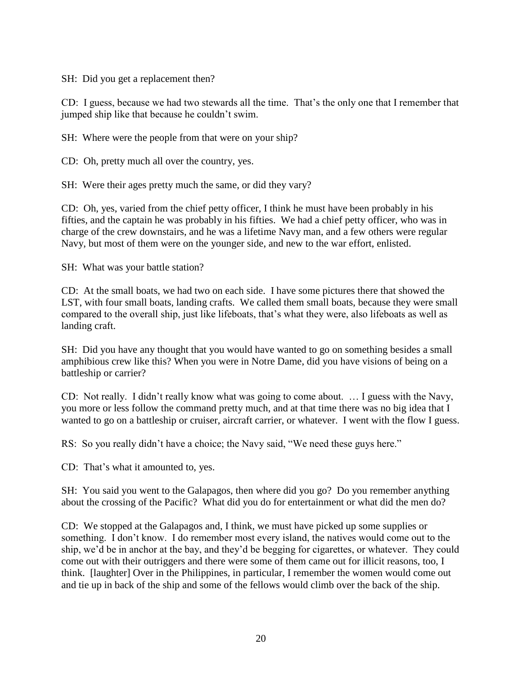SH: Did you get a replacement then?

CD: I guess, because we had two stewards all the time. That's the only one that I remember that jumped ship like that because he couldn't swim.

SH: Where were the people from that were on your ship?

CD: Oh, pretty much all over the country, yes.

SH: Were their ages pretty much the same, or did they vary?

CD: Oh, yes, varied from the chief petty officer, I think he must have been probably in his fifties, and the captain he was probably in his fifties. We had a chief petty officer, who was in charge of the crew downstairs, and he was a lifetime Navy man, and a few others were regular Navy, but most of them were on the younger side, and new to the war effort, enlisted.

SH: What was your battle station?

CD: At the small boats, we had two on each side. I have some pictures there that showed the LST, with four small boats, landing crafts. We called them small boats, because they were small compared to the overall ship, just like lifeboats, that's what they were, also lifeboats as well as landing craft.

SH: Did you have any thought that you would have wanted to go on something besides a small amphibious crew like this? When you were in Notre Dame, did you have visions of being on a battleship or carrier?

CD: Not really. I didn't really know what was going to come about. … I guess with the Navy, you more or less follow the command pretty much, and at that time there was no big idea that I wanted to go on a battleship or cruiser, aircraft carrier, or whatever. I went with the flow I guess.

RS: So you really didn't have a choice; the Navy said, "We need these guys here."

CD: That's what it amounted to, yes.

SH: You said you went to the Galapagos, then where did you go? Do you remember anything about the crossing of the Pacific? What did you do for entertainment or what did the men do?

CD: We stopped at the Galapagos and, I think, we must have picked up some supplies or something. I don't know. I do remember most every island, the natives would come out to the ship, we'd be in anchor at the bay, and they'd be begging for cigarettes, or whatever. They could come out with their outriggers and there were some of them came out for illicit reasons, too, I think. [laughter] Over in the Philippines, in particular, I remember the women would come out and tie up in back of the ship and some of the fellows would climb over the back of the ship.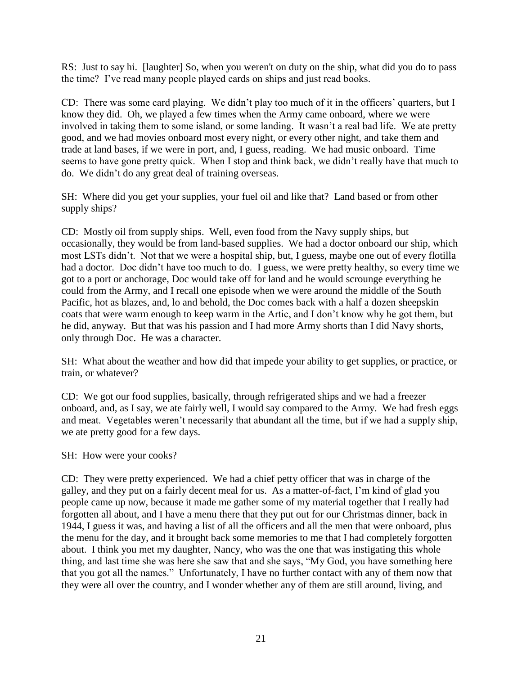RS: Just to say hi. [laughter] So, when you weren't on duty on the ship, what did you do to pass the time? I've read many people played cards on ships and just read books.

CD: There was some card playing. We didn't play too much of it in the officers' quarters, but I know they did. Oh, we played a few times when the Army came onboard, where we were involved in taking them to some island, or some landing. It wasn't a real bad life. We ate pretty good, and we had movies onboard most every night, or every other night, and take them and trade at land bases, if we were in port, and, I guess, reading. We had music onboard. Time seems to have gone pretty quick. When I stop and think back, we didn't really have that much to do. We didn't do any great deal of training overseas.

SH: Where did you get your supplies, your fuel oil and like that? Land based or from other supply ships?

CD: Mostly oil from supply ships. Well, even food from the Navy supply ships, but occasionally, they would be from land-based supplies. We had a doctor onboard our ship, which most LSTs didn't. Not that we were a hospital ship, but, I guess, maybe one out of every flotilla had a doctor. Doc didn't have too much to do. I guess, we were pretty healthy, so every time we got to a port or anchorage, Doc would take off for land and he would scrounge everything he could from the Army, and I recall one episode when we were around the middle of the South Pacific, hot as blazes, and, lo and behold, the Doc comes back with a half a dozen sheepskin coats that were warm enough to keep warm in the Artic, and I don't know why he got them, but he did, anyway. But that was his passion and I had more Army shorts than I did Navy shorts, only through Doc. He was a character.

SH: What about the weather and how did that impede your ability to get supplies, or practice, or train, or whatever?

CD: We got our food supplies, basically, through refrigerated ships and we had a freezer onboard, and, as I say, we ate fairly well, I would say compared to the Army. We had fresh eggs and meat. Vegetables weren't necessarily that abundant all the time, but if we had a supply ship, we ate pretty good for a few days.

SH: How were your cooks?

CD: They were pretty experienced. We had a chief petty officer that was in charge of the galley, and they put on a fairly decent meal for us. As a matter-of-fact, I'm kind of glad you people came up now, because it made me gather some of my material together that I really had forgotten all about, and I have a menu there that they put out for our Christmas dinner, back in 1944, I guess it was, and having a list of all the officers and all the men that were onboard, plus the menu for the day, and it brought back some memories to me that I had completely forgotten about. I think you met my daughter, Nancy, who was the one that was instigating this whole thing, and last time she was here she saw that and she says, "My God, you have something here that you got all the names." Unfortunately, I have no further contact with any of them now that they were all over the country, and I wonder whether any of them are still around, living, and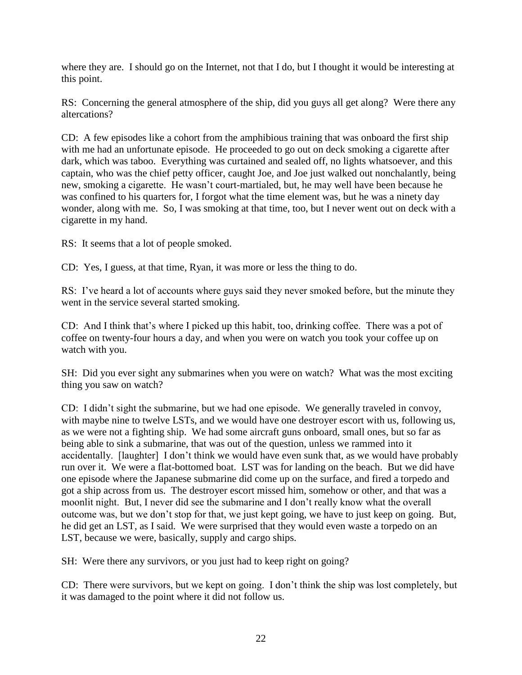where they are. I should go on the Internet, not that I do, but I thought it would be interesting at this point.

RS: Concerning the general atmosphere of the ship, did you guys all get along? Were there any altercations?

CD: A few episodes like a cohort from the amphibious training that was onboard the first ship with me had an unfortunate episode. He proceeded to go out on deck smoking a cigarette after dark, which was taboo. Everything was curtained and sealed off, no lights whatsoever, and this captain, who was the chief petty officer, caught Joe, and Joe just walked out nonchalantly, being new, smoking a cigarette. He wasn't court-martialed, but, he may well have been because he was confined to his quarters for, I forgot what the time element was, but he was a ninety day wonder, along with me. So, I was smoking at that time, too, but I never went out on deck with a cigarette in my hand.

RS: It seems that a lot of people smoked.

CD: Yes, I guess, at that time, Ryan, it was more or less the thing to do.

RS: I've heard a lot of accounts where guys said they never smoked before, but the minute they went in the service several started smoking.

CD: And I think that's where I picked up this habit, too, drinking coffee. There was a pot of coffee on twenty-four hours a day, and when you were on watch you took your coffee up on watch with you.

SH: Did you ever sight any submarines when you were on watch? What was the most exciting thing you saw on watch?

CD: I didn't sight the submarine, but we had one episode. We generally traveled in convoy, with maybe nine to twelve LSTs, and we would have one destroyer escort with us, following us, as we were not a fighting ship. We had some aircraft guns onboard, small ones, but so far as being able to sink a submarine, that was out of the question, unless we rammed into it accidentally. [laughter] I don't think we would have even sunk that, as we would have probably run over it. We were a flat-bottomed boat. LST was for landing on the beach. But we did have one episode where the Japanese submarine did come up on the surface, and fired a torpedo and got a ship across from us. The destroyer escort missed him, somehow or other, and that was a moonlit night. But, I never did see the submarine and I don't really know what the overall outcome was, but we don't stop for that, we just kept going, we have to just keep on going. But, he did get an LST, as I said. We were surprised that they would even waste a torpedo on an LST, because we were, basically, supply and cargo ships.

SH: Were there any survivors, or you just had to keep right on going?

CD: There were survivors, but we kept on going. I don't think the ship was lost completely, but it was damaged to the point where it did not follow us.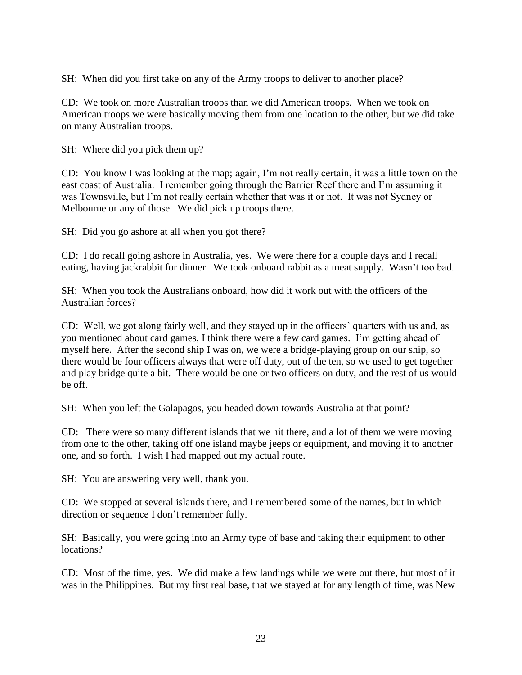SH: When did you first take on any of the Army troops to deliver to another place?

CD: We took on more Australian troops than we did American troops. When we took on American troops we were basically moving them from one location to the other, but we did take on many Australian troops.

SH: Where did you pick them up?

CD: You know I was looking at the map; again, I'm not really certain, it was a little town on the east coast of Australia. I remember going through the Barrier Reef there and I'm assuming it was Townsville, but I'm not really certain whether that was it or not. It was not Sydney or Melbourne or any of those. We did pick up troops there.

SH: Did you go ashore at all when you got there?

CD: I do recall going ashore in Australia, yes. We were there for a couple days and I recall eating, having jackrabbit for dinner. We took onboard rabbit as a meat supply. Wasn't too bad.

SH: When you took the Australians onboard, how did it work out with the officers of the Australian forces?

CD: Well, we got along fairly well, and they stayed up in the officers' quarters with us and, as you mentioned about card games, I think there were a few card games. I'm getting ahead of myself here. After the second ship I was on, we were a bridge-playing group on our ship, so there would be four officers always that were off duty, out of the ten, so we used to get together and play bridge quite a bit. There would be one or two officers on duty, and the rest of us would be off.

SH: When you left the Galapagos, you headed down towards Australia at that point?

CD: There were so many different islands that we hit there, and a lot of them we were moving from one to the other, taking off one island maybe jeeps or equipment, and moving it to another one, and so forth. I wish I had mapped out my actual route.

SH: You are answering very well, thank you.

CD: We stopped at several islands there, and I remembered some of the names, but in which direction or sequence I don't remember fully.

SH: Basically, you were going into an Army type of base and taking their equipment to other locations?

CD: Most of the time, yes. We did make a few landings while we were out there, but most of it was in the Philippines. But my first real base, that we stayed at for any length of time, was New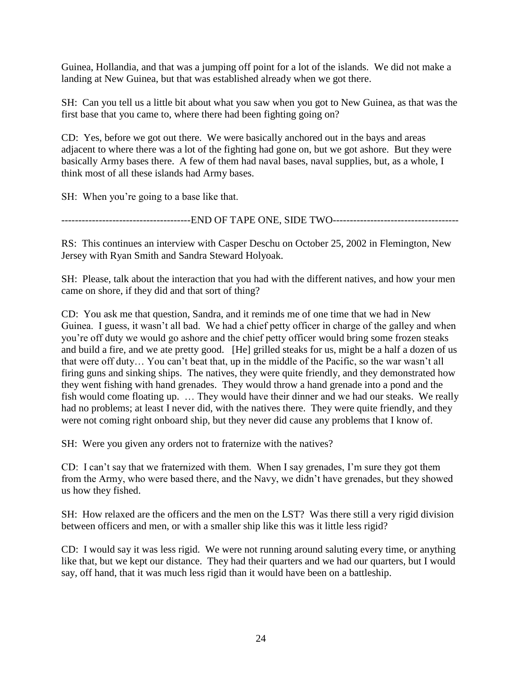Guinea, Hollandia, and that was a jumping off point for a lot of the islands. We did not make a landing at New Guinea, but that was established already when we got there.

SH: Can you tell us a little bit about what you saw when you got to New Guinea, as that was the first base that you came to, where there had been fighting going on?

CD: Yes, before we got out there. We were basically anchored out in the bays and areas adjacent to where there was a lot of the fighting had gone on, but we got ashore. But they were basically Army bases there. A few of them had naval bases, naval supplies, but, as a whole, I think most of all these islands had Army bases.

SH: When you're going to a base like that.

-------------------------END OF TAPE ONE, SIDE TWO------------------------------

RS: This continues an interview with Casper Deschu on October 25, 2002 in Flemington, New Jersey with Ryan Smith and Sandra Steward Holyoak.

SH: Please, talk about the interaction that you had with the different natives, and how your men came on shore, if they did and that sort of thing?

CD: You ask me that question, Sandra, and it reminds me of one time that we had in New Guinea. I guess, it wasn't all bad. We had a chief petty officer in charge of the galley and when you're off duty we would go ashore and the chief petty officer would bring some frozen steaks and build a fire, and we ate pretty good. [He] grilled steaks for us, might be a half a dozen of us that were off duty… You can't beat that, up in the middle of the Pacific, so the war wasn't all firing guns and sinking ships. The natives, they were quite friendly, and they demonstrated how they went fishing with hand grenades. They would throw a hand grenade into a pond and the fish would come floating up. … They would have their dinner and we had our steaks. We really had no problems; at least I never did, with the natives there. They were quite friendly, and they were not coming right onboard ship, but they never did cause any problems that I know of.

SH: Were you given any orders not to fraternize with the natives?

CD: I can't say that we fraternized with them. When I say grenades, I'm sure they got them from the Army, who were based there, and the Navy, we didn't have grenades, but they showed us how they fished.

SH: How relaxed are the officers and the men on the LST? Was there still a very rigid division between officers and men, or with a smaller ship like this was it little less rigid?

CD: I would say it was less rigid. We were not running around saluting every time, or anything like that, but we kept our distance. They had their quarters and we had our quarters, but I would say, off hand, that it was much less rigid than it would have been on a battleship.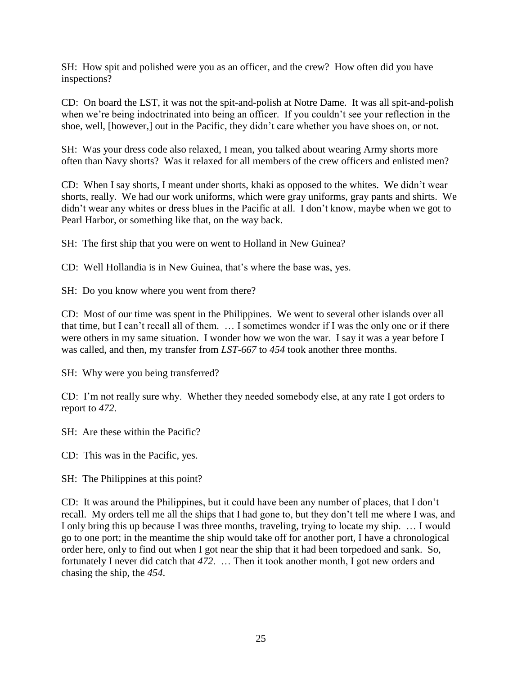SH: How spit and polished were you as an officer, and the crew? How often did you have inspections?

CD: On board the LST, it was not the spit-and-polish at Notre Dame. It was all spit-and-polish when we're being indoctrinated into being an officer. If you couldn't see your reflection in the shoe, well, [however,] out in the Pacific, they didn't care whether you have shoes on, or not.

SH: Was your dress code also relaxed, I mean, you talked about wearing Army shorts more often than Navy shorts? Was it relaxed for all members of the crew officers and enlisted men?

CD: When I say shorts, I meant under shorts, khaki as opposed to the whites. We didn't wear shorts, really. We had our work uniforms, which were gray uniforms, gray pants and shirts. We didn't wear any whites or dress blues in the Pacific at all. I don't know, maybe when we got to Pearl Harbor, or something like that, on the way back.

SH: The first ship that you were on went to Holland in New Guinea?

CD: Well Hollandia is in New Guinea, that's where the base was, yes.

SH: Do you know where you went from there?

CD: Most of our time was spent in the Philippines. We went to several other islands over all that time, but I can't recall all of them. … I sometimes wonder if I was the only one or if there were others in my same situation. I wonder how we won the war. I say it was a year before I was called, and then, my transfer from *LST-667* to *454* took another three months.

SH: Why were you being transferred?

CD: I'm not really sure why. Whether they needed somebody else, at any rate I got orders to report to *472*.

SH: Are these within the Pacific?

CD: This was in the Pacific, yes.

SH: The Philippines at this point?

CD: It was around the Philippines, but it could have been any number of places, that I don't recall. My orders tell me all the ships that I had gone to, but they don't tell me where I was, and I only bring this up because I was three months, traveling, trying to locate my ship. … I would go to one port; in the meantime the ship would take off for another port, I have a chronological order here, only to find out when I got near the ship that it had been torpedoed and sank. So, fortunately I never did catch that *472*. … Then it took another month, I got new orders and chasing the ship, the *454*.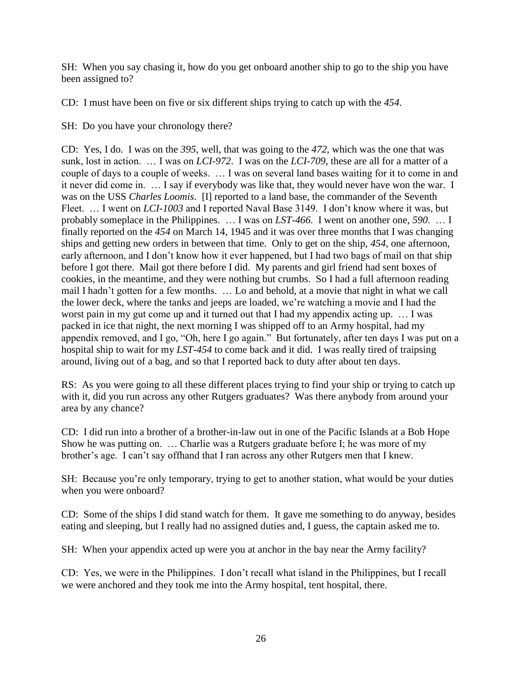SH: When you say chasing it, how do you get onboard another ship to go to the ship you have been assigned to?

CD: I must have been on five or six different ships trying to catch up with the *454*.

SH: Do you have your chronology there?

CD: Yes, I do. I was on the *395*, well, that was going to the *472*, which was the one that was sunk, lost in action. … I was on *LCI-972*. I was on the *LCI-709*, these are all for a matter of a couple of days to a couple of weeks. … I was on several land bases waiting for it to come in and it never did come in. … I say if everybody was like that, they would never have won the war. I was on the USS *Charles Loomis*. [I] reported to a land base, the commander of the Seventh Fleet. … I went on *LCI-1003* and I reported Naval Base 3149. I don't know where it was, but probably someplace in the Philippines. … I was on *LST-466*. I went on another one, *590*. … I finally reported on the *454* on March 14, 1945 and it was over three months that I was changing ships and getting new orders in between that time. Only to get on the ship, *454*, one afternoon, early afternoon, and I don't know how it ever happened, but I had two bags of mail on that ship before I got there. Mail got there before I did. My parents and girl friend had sent boxes of cookies, in the meantime, and they were nothing but crumbs. So I had a full afternoon reading mail I hadn't gotten for a few months. … Lo and behold, at a movie that night in what we call the lower deck, where the tanks and jeeps are loaded, we're watching a movie and I had the worst pain in my gut come up and it turned out that I had my appendix acting up. … I was packed in ice that night, the next morning I was shipped off to an Army hospital, had my appendix removed, and I go, "Oh, here I go again." But fortunately, after ten days I was put on a hospital ship to wait for my *LST-454* to come back and it did. I was really tired of traipsing around, living out of a bag, and so that I reported back to duty after about ten days.

RS: As you were going to all these different places trying to find your ship or trying to catch up with it, did you run across any other Rutgers graduates? Was there anybody from around your area by any chance?

CD: I did run into a brother of a brother-in-law out in one of the Pacific Islands at a Bob Hope Show he was putting on. … Charlie was a Rutgers graduate before I; he was more of my brother's age. I can't say offhand that I ran across any other Rutgers men that I knew.

SH: Because you're only temporary, trying to get to another station, what would be your duties when you were onboard?

CD: Some of the ships I did stand watch for them. It gave me something to do anyway, besides eating and sleeping, but I really had no assigned duties and, I guess, the captain asked me to.

SH: When your appendix acted up were you at anchor in the bay near the Army facility?

CD: Yes, we were in the Philippines. I don't recall what island in the Philippines, but I recall we were anchored and they took me into the Army hospital, tent hospital, there.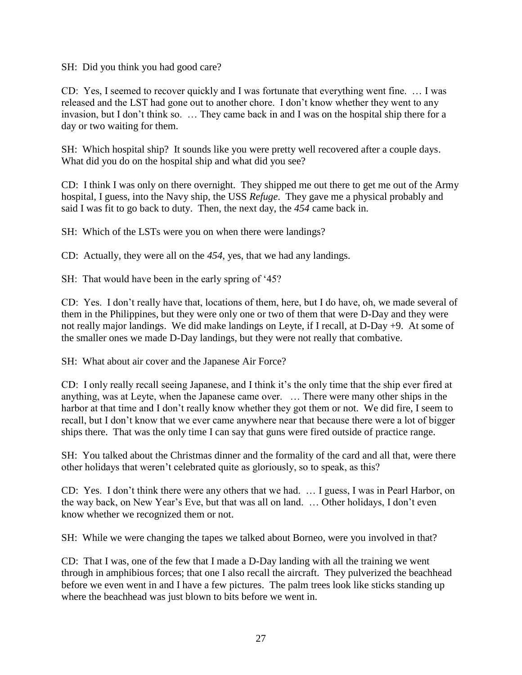SH: Did you think you had good care?

CD: Yes, I seemed to recover quickly and I was fortunate that everything went fine. … I was released and the LST had gone out to another chore. I don't know whether they went to any invasion, but I don't think so. … They came back in and I was on the hospital ship there for a day or two waiting for them.

SH: Which hospital ship? It sounds like you were pretty well recovered after a couple days. What did you do on the hospital ship and what did you see?

CD: I think I was only on there overnight. They shipped me out there to get me out of the Army hospital, I guess, into the Navy ship, the USS *Refuge*. They gave me a physical probably and said I was fit to go back to duty. Then, the next day, the *454* came back in.

SH: Which of the LSTs were you on when there were landings?

CD: Actually, they were all on the *454*, yes, that we had any landings.

SH: That would have been in the early spring of '45?

CD: Yes. I don't really have that, locations of them, here, but I do have, oh, we made several of them in the Philippines, but they were only one or two of them that were D-Day and they were not really major landings. We did make landings on Leyte, if I recall, at D-Day +9. At some of the smaller ones we made D-Day landings, but they were not really that combative.

SH: What about air cover and the Japanese Air Force?

CD: I only really recall seeing Japanese, and I think it's the only time that the ship ever fired at anything, was at Leyte, when the Japanese came over. … There were many other ships in the harbor at that time and I don't really know whether they got them or not. We did fire, I seem to recall, but I don't know that we ever came anywhere near that because there were a lot of bigger ships there. That was the only time I can say that guns were fired outside of practice range.

SH: You talked about the Christmas dinner and the formality of the card and all that, were there other holidays that weren't celebrated quite as gloriously, so to speak, as this?

CD: Yes. I don't think there were any others that we had. … I guess, I was in Pearl Harbor, on the way back, on New Year's Eve, but that was all on land. … Other holidays, I don't even know whether we recognized them or not.

SH: While we were changing the tapes we talked about Borneo, were you involved in that?

CD: That I was, one of the few that I made a D-Day landing with all the training we went through in amphibious forces; that one I also recall the aircraft. They pulverized the beachhead before we even went in and I have a few pictures. The palm trees look like sticks standing up where the beachhead was just blown to bits before we went in.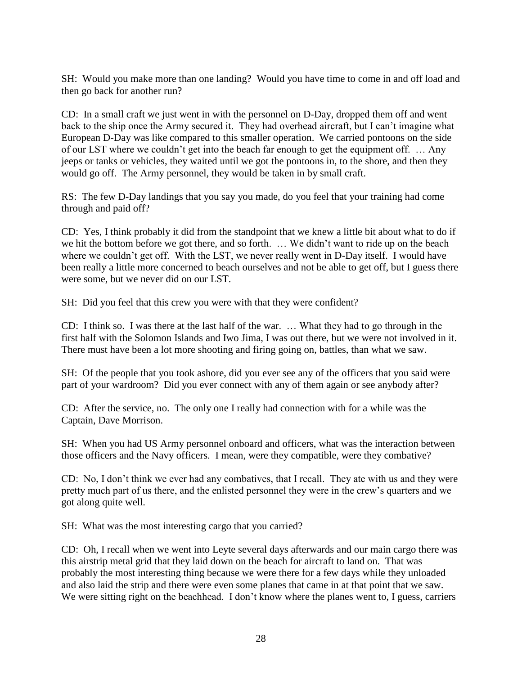SH: Would you make more than one landing? Would you have time to come in and off load and then go back for another run?

CD: In a small craft we just went in with the personnel on D-Day, dropped them off and went back to the ship once the Army secured it. They had overhead aircraft, but I can't imagine what European D-Day was like compared to this smaller operation. We carried pontoons on the side of our LST where we couldn't get into the beach far enough to get the equipment off. … Any jeeps or tanks or vehicles, they waited until we got the pontoons in, to the shore, and then they would go off. The Army personnel, they would be taken in by small craft.

RS: The few D-Day landings that you say you made, do you feel that your training had come through and paid off?

CD: Yes, I think probably it did from the standpoint that we knew a little bit about what to do if we hit the bottom before we got there, and so forth. … We didn't want to ride up on the beach where we couldn't get off. With the LST, we never really went in D-Day itself. I would have been really a little more concerned to beach ourselves and not be able to get off, but I guess there were some, but we never did on our LST.

SH: Did you feel that this crew you were with that they were confident?

CD: I think so. I was there at the last half of the war. … What they had to go through in the first half with the Solomon Islands and Iwo Jima, I was out there, but we were not involved in it. There must have been a lot more shooting and firing going on, battles, than what we saw.

SH: Of the people that you took ashore, did you ever see any of the officers that you said were part of your wardroom? Did you ever connect with any of them again or see anybody after?

CD: After the service, no. The only one I really had connection with for a while was the Captain, Dave Morrison.

SH: When you had US Army personnel onboard and officers, what was the interaction between those officers and the Navy officers. I mean, were they compatible, were they combative?

CD: No, I don't think we ever had any combatives, that I recall. They ate with us and they were pretty much part of us there, and the enlisted personnel they were in the crew's quarters and we got along quite well.

SH: What was the most interesting cargo that you carried?

CD: Oh, I recall when we went into Leyte several days afterwards and our main cargo there was this airstrip metal grid that they laid down on the beach for aircraft to land on. That was probably the most interesting thing because we were there for a few days while they unloaded and also laid the strip and there were even some planes that came in at that point that we saw. We were sitting right on the beachhead. I don't know where the planes went to, I guess, carriers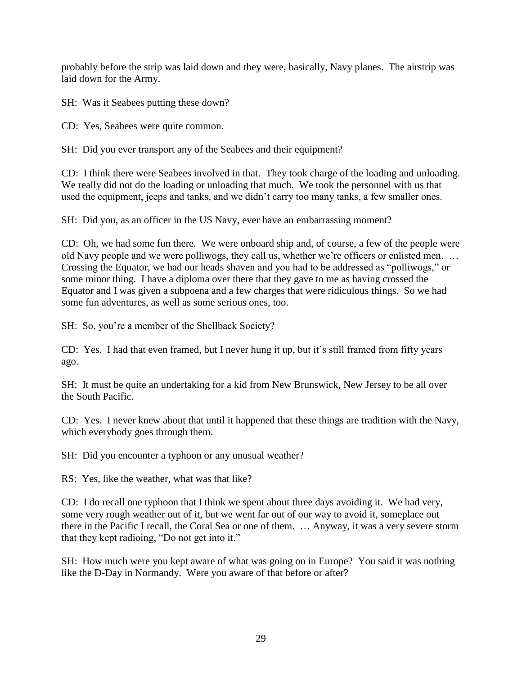probably before the strip was laid down and they were, basically, Navy planes. The airstrip was laid down for the Army.

SH: Was it Seabees putting these down?

CD: Yes, Seabees were quite common.

SH: Did you ever transport any of the Seabees and their equipment?

CD: I think there were Seabees involved in that. They took charge of the loading and unloading. We really did not do the loading or unloading that much. We took the personnel with us that used the equipment, jeeps and tanks, and we didn't carry too many tanks, a few smaller ones.

SH: Did you, as an officer in the US Navy, ever have an embarrassing moment?

CD: Oh, we had some fun there. We were onboard ship and, of course, a few of the people were old Navy people and we were polliwogs, they call us, whether we're officers or enlisted men. … Crossing the Equator, we had our heads shaven and you had to be addressed as "polliwogs," or some minor thing. I have a diploma over there that they gave to me as having crossed the Equator and I was given a subpoena and a few charges that were ridiculous things. So we had some fun adventures, as well as some serious ones, too.

SH: So, you're a member of the Shellback Society?

CD: Yes. I had that even framed, but I never hung it up, but it's still framed from fifty years ago.

SH: It must be quite an undertaking for a kid from New Brunswick, New Jersey to be all over the South Pacific.

CD: Yes. I never knew about that until it happened that these things are tradition with the Navy, which everybody goes through them.

SH: Did you encounter a typhoon or any unusual weather?

RS: Yes, like the weather, what was that like?

CD: I do recall one typhoon that I think we spent about three days avoiding it. We had very, some very rough weather out of it, but we went far out of our way to avoid it, someplace out there in the Pacific I recall, the Coral Sea or one of them. … Anyway, it was a very severe storm that they kept radioing, "Do not get into it."

SH: How much were you kept aware of what was going on in Europe? You said it was nothing like the D-Day in Normandy. Were you aware of that before or after?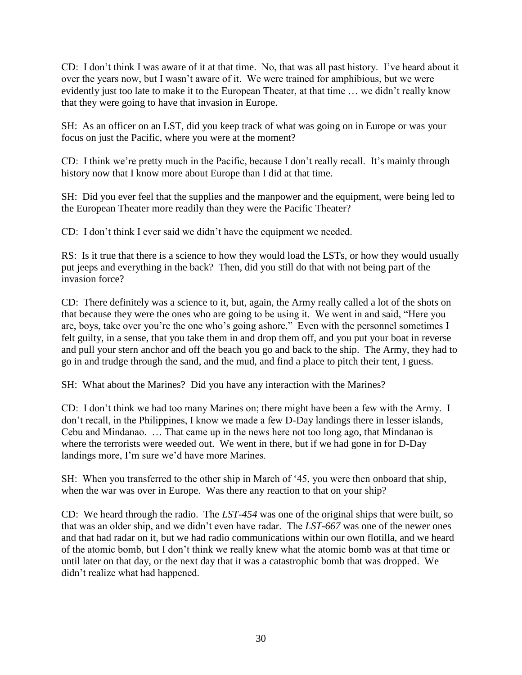CD: I don't think I was aware of it at that time. No, that was all past history. I've heard about it over the years now, but I wasn't aware of it. We were trained for amphibious, but we were evidently just too late to make it to the European Theater, at that time … we didn't really know that they were going to have that invasion in Europe.

SH: As an officer on an LST, did you keep track of what was going on in Europe or was your focus on just the Pacific, where you were at the moment?

CD: I think we're pretty much in the Pacific, because I don't really recall. It's mainly through history now that I know more about Europe than I did at that time.

SH: Did you ever feel that the supplies and the manpower and the equipment, were being led to the European Theater more readily than they were the Pacific Theater?

CD: I don't think I ever said we didn't have the equipment we needed.

RS: Is it true that there is a science to how they would load the LSTs, or how they would usually put jeeps and everything in the back? Then, did you still do that with not being part of the invasion force?

CD: There definitely was a science to it, but, again, the Army really called a lot of the shots on that because they were the ones who are going to be using it. We went in and said, "Here you are, boys, take over you're the one who's going ashore." Even with the personnel sometimes I felt guilty, in a sense, that you take them in and drop them off, and you put your boat in reverse and pull your stern anchor and off the beach you go and back to the ship. The Army, they had to go in and trudge through the sand, and the mud, and find a place to pitch their tent, I guess.

SH: What about the Marines? Did you have any interaction with the Marines?

CD: I don't think we had too many Marines on; there might have been a few with the Army. I don't recall, in the Philippines, I know we made a few D-Day landings there in lesser islands, Cebu and Mindanao. … That came up in the news here not too long ago, that Mindanao is where the terrorists were weeded out. We went in there, but if we had gone in for D-Day landings more, I'm sure we'd have more Marines.

SH: When you transferred to the other ship in March of '45, you were then onboard that ship, when the war was over in Europe. Was there any reaction to that on your ship?

CD: We heard through the radio. The *LST-454* was one of the original ships that were built, so that was an older ship, and we didn't even have radar. The *LST-667* was one of the newer ones and that had radar on it, but we had radio communications within our own flotilla, and we heard of the atomic bomb, but I don't think we really knew what the atomic bomb was at that time or until later on that day, or the next day that it was a catastrophic bomb that was dropped. We didn't realize what had happened.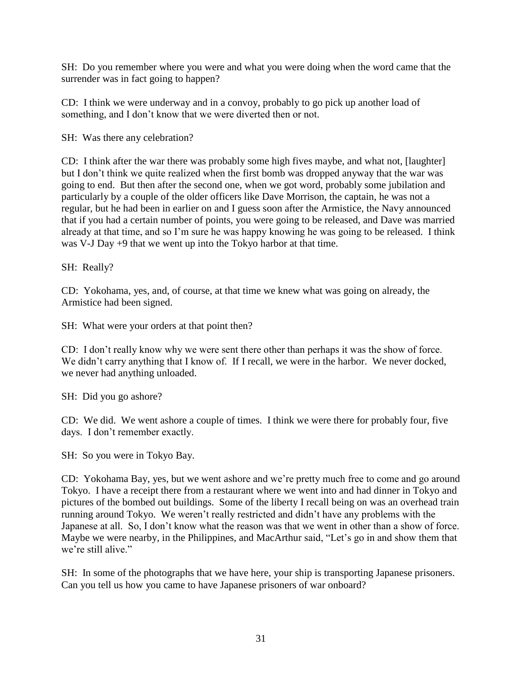SH: Do you remember where you were and what you were doing when the word came that the surrender was in fact going to happen?

CD: I think we were underway and in a convoy, probably to go pick up another load of something, and I don't know that we were diverted then or not.

SH: Was there any celebration?

CD: I think after the war there was probably some high fives maybe, and what not, [laughter] but I don't think we quite realized when the first bomb was dropped anyway that the war was going to end. But then after the second one, when we got word, probably some jubilation and particularly by a couple of the older officers like Dave Morrison, the captain, he was not a regular, but he had been in earlier on and I guess soon after the Armistice, the Navy announced that if you had a certain number of points, you were going to be released, and Dave was married already at that time, and so I'm sure he was happy knowing he was going to be released. I think was V-J Day +9 that we went up into the Tokyo harbor at that time.

SH: Really?

CD: Yokohama, yes, and, of course, at that time we knew what was going on already, the Armistice had been signed.

SH: What were your orders at that point then?

CD: I don't really know why we were sent there other than perhaps it was the show of force. We didn't carry anything that I know of. If I recall, we were in the harbor. We never docked, we never had anything unloaded.

SH: Did you go ashore?

CD: We did. We went ashore a couple of times. I think we were there for probably four, five days. I don't remember exactly.

SH: So you were in Tokyo Bay.

CD: Yokohama Bay, yes, but we went ashore and we're pretty much free to come and go around Tokyo. I have a receipt there from a restaurant where we went into and had dinner in Tokyo and pictures of the bombed out buildings. Some of the liberty I recall being on was an overhead train running around Tokyo. We weren't really restricted and didn't have any problems with the Japanese at all. So, I don't know what the reason was that we went in other than a show of force. Maybe we were nearby, in the Philippines, and MacArthur said, "Let's go in and show them that we're still alive."

SH: In some of the photographs that we have here, your ship is transporting Japanese prisoners. Can you tell us how you came to have Japanese prisoners of war onboard?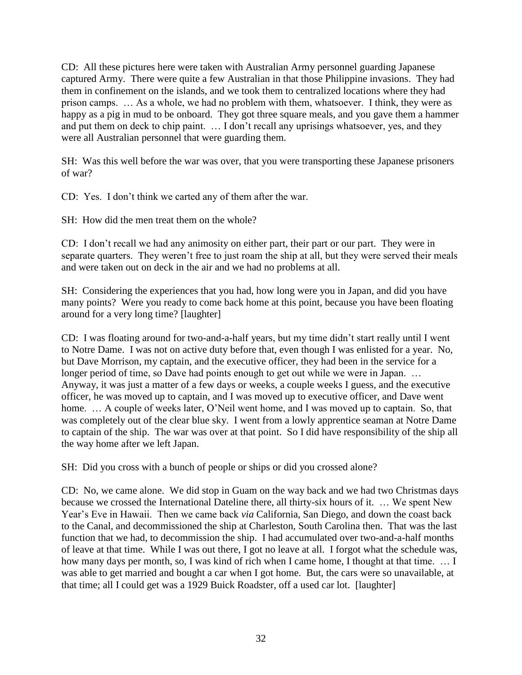CD: All these pictures here were taken with Australian Army personnel guarding Japanese captured Army. There were quite a few Australian in that those Philippine invasions. They had them in confinement on the islands, and we took them to centralized locations where they had prison camps. … As a whole, we had no problem with them, whatsoever. I think, they were as happy as a pig in mud to be onboard. They got three square meals, and you gave them a hammer and put them on deck to chip paint. … I don't recall any uprisings whatsoever, yes, and they were all Australian personnel that were guarding them.

SH: Was this well before the war was over, that you were transporting these Japanese prisoners of war?

CD: Yes. I don't think we carted any of them after the war.

SH: How did the men treat them on the whole?

CD: I don't recall we had any animosity on either part, their part or our part. They were in separate quarters. They weren't free to just roam the ship at all, but they were served their meals and were taken out on deck in the air and we had no problems at all.

SH: Considering the experiences that you had, how long were you in Japan, and did you have many points? Were you ready to come back home at this point, because you have been floating around for a very long time? [laughter]

CD: I was floating around for two-and-a-half years, but my time didn't start really until I went to Notre Dame. I was not on active duty before that, even though I was enlisted for a year. No, but Dave Morrison, my captain, and the executive officer, they had been in the service for a longer period of time, so Dave had points enough to get out while we were in Japan. ... Anyway, it was just a matter of a few days or weeks, a couple weeks I guess, and the executive officer, he was moved up to captain, and I was moved up to executive officer, and Dave went home. ... A couple of weeks later, O'Neil went home, and I was moved up to captain. So, that was completely out of the clear blue sky. I went from a lowly apprentice seaman at Notre Dame to captain of the ship. The war was over at that point. So I did have responsibility of the ship all the way home after we left Japan.

SH: Did you cross with a bunch of people or ships or did you crossed alone?

CD: No, we came alone. We did stop in Guam on the way back and we had two Christmas days because we crossed the International Dateline there, all thirty-six hours of it. … We spent New Year's Eve in Hawaii. Then we came back *via* California, San Diego, and down the coast back to the Canal, and decommissioned the ship at Charleston, South Carolina then. That was the last function that we had, to decommission the ship. I had accumulated over two-and-a-half months of leave at that time. While I was out there, I got no leave at all. I forgot what the schedule was, how many days per month, so, I was kind of rich when I came home, I thought at that time. ... I was able to get married and bought a car when I got home. But, the cars were so unavailable, at that time; all I could get was a 1929 Buick Roadster, off a used car lot. [laughter]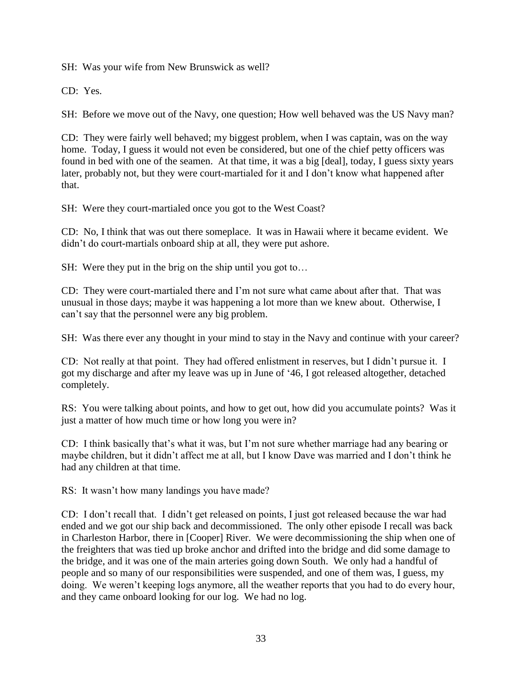SH: Was your wife from New Brunswick as well?

CD: Yes.

SH: Before we move out of the Navy, one question; How well behaved was the US Navy man?

CD: They were fairly well behaved; my biggest problem, when I was captain, was on the way home. Today, I guess it would not even be considered, but one of the chief petty officers was found in bed with one of the seamen. At that time, it was a big [deal], today, I guess sixty years later, probably not, but they were court-martialed for it and I don't know what happened after that.

SH: Were they court-martialed once you got to the West Coast?

CD: No, I think that was out there someplace. It was in Hawaii where it became evident. We didn't do court-martials onboard ship at all, they were put ashore.

SH: Were they put in the brig on the ship until you got to…

CD: They were court-martialed there and I'm not sure what came about after that. That was unusual in those days; maybe it was happening a lot more than we knew about. Otherwise, I can't say that the personnel were any big problem.

SH: Was there ever any thought in your mind to stay in the Navy and continue with your career?

CD: Not really at that point. They had offered enlistment in reserves, but I didn't pursue it. I got my discharge and after my leave was up in June of '46, I got released altogether, detached completely.

RS: You were talking about points, and how to get out, how did you accumulate points? Was it just a matter of how much time or how long you were in?

CD: I think basically that's what it was, but I'm not sure whether marriage had any bearing or maybe children, but it didn't affect me at all, but I know Dave was married and I don't think he had any children at that time.

RS: It wasn't how many landings you have made?

CD: I don't recall that. I didn't get released on points, I just got released because the war had ended and we got our ship back and decommissioned. The only other episode I recall was back in Charleston Harbor, there in [Cooper] River. We were decommissioning the ship when one of the freighters that was tied up broke anchor and drifted into the bridge and did some damage to the bridge, and it was one of the main arteries going down South. We only had a handful of people and so many of our responsibilities were suspended, and one of them was, I guess, my doing. We weren't keeping logs anymore, all the weather reports that you had to do every hour, and they came onboard looking for our log. We had no log.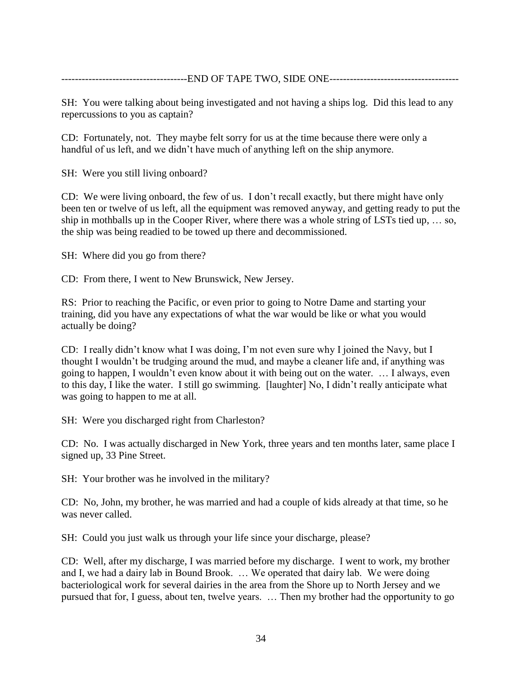-END OF TAPE TWO, SIDE ONE---------------------

SH: You were talking about being investigated and not having a ships log. Did this lead to any repercussions to you as captain?

CD: Fortunately, not. They maybe felt sorry for us at the time because there were only a handful of us left, and we didn't have much of anything left on the ship anymore.

SH: Were you still living onboard?

CD: We were living onboard, the few of us. I don't recall exactly, but there might have only been ten or twelve of us left, all the equipment was removed anyway, and getting ready to put the ship in mothballs up in the Cooper River, where there was a whole string of LSTs tied up, … so, the ship was being readied to be towed up there and decommissioned.

SH: Where did you go from there?

CD: From there, I went to New Brunswick, New Jersey.

RS: Prior to reaching the Pacific, or even prior to going to Notre Dame and starting your training, did you have any expectations of what the war would be like or what you would actually be doing?

CD: I really didn't know what I was doing, I'm not even sure why I joined the Navy, but I thought I wouldn't be trudging around the mud, and maybe a cleaner life and, if anything was going to happen, I wouldn't even know about it with being out on the water. … I always, even to this day, I like the water. I still go swimming. [laughter] No, I didn't really anticipate what was going to happen to me at all.

SH: Were you discharged right from Charleston?

CD: No. I was actually discharged in New York, three years and ten months later, same place I signed up, 33 Pine Street.

SH: Your brother was he involved in the military?

CD: No, John, my brother, he was married and had a couple of kids already at that time, so he was never called.

SH: Could you just walk us through your life since your discharge, please?

CD: Well, after my discharge, I was married before my discharge. I went to work, my brother and I, we had a dairy lab in Bound Brook. … We operated that dairy lab. We were doing bacteriological work for several dairies in the area from the Shore up to North Jersey and we pursued that for, I guess, about ten, twelve years. … Then my brother had the opportunity to go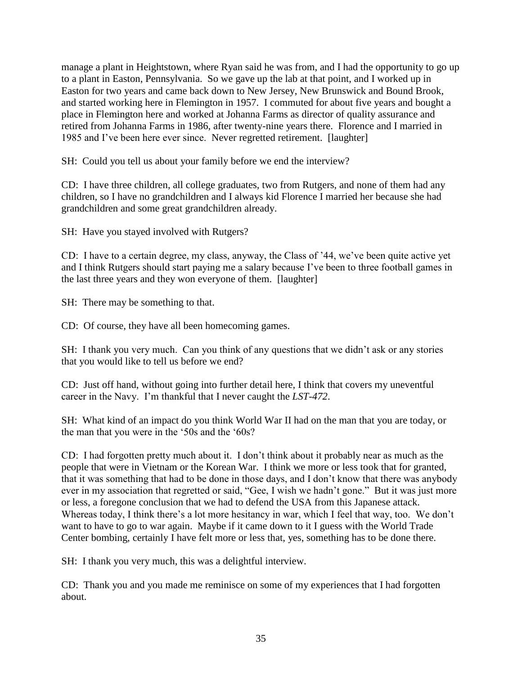manage a plant in Heightstown, where Ryan said he was from, and I had the opportunity to go up to a plant in Easton, Pennsylvania. So we gave up the lab at that point, and I worked up in Easton for two years and came back down to New Jersey, New Brunswick and Bound Brook, and started working here in Flemington in 1957. I commuted for about five years and bought a place in Flemington here and worked at Johanna Farms as director of quality assurance and retired from Johanna Farms in 1986, after twenty-nine years there. Florence and I married in 1985 and I've been here ever since. Never regretted retirement. [laughter]

SH: Could you tell us about your family before we end the interview?

CD: I have three children, all college graduates, two from Rutgers, and none of them had any children, so I have no grandchildren and I always kid Florence I married her because she had grandchildren and some great grandchildren already.

SH: Have you stayed involved with Rutgers?

CD: I have to a certain degree, my class, anyway, the Class of '44, we've been quite active yet and I think Rutgers should start paying me a salary because I've been to three football games in the last three years and they won everyone of them. [laughter]

SH: There may be something to that.

CD: Of course, they have all been homecoming games.

SH: I thank you very much. Can you think of any questions that we didn't ask or any stories that you would like to tell us before we end?

CD: Just off hand, without going into further detail here, I think that covers my uneventful career in the Navy. I'm thankful that I never caught the *LST-472*.

SH: What kind of an impact do you think World War II had on the man that you are today, or the man that you were in the '50s and the '60s?

CD: I had forgotten pretty much about it. I don't think about it probably near as much as the people that were in Vietnam or the Korean War. I think we more or less took that for granted, that it was something that had to be done in those days, and I don't know that there was anybody ever in my association that regretted or said, "Gee, I wish we hadn't gone." But it was just more or less, a foregone conclusion that we had to defend the USA from this Japanese attack. Whereas today, I think there's a lot more hesitancy in war, which I feel that way, too. We don't want to have to go to war again. Maybe if it came down to it I guess with the World Trade Center bombing, certainly I have felt more or less that, yes, something has to be done there.

SH: I thank you very much, this was a delightful interview.

CD: Thank you and you made me reminisce on some of my experiences that I had forgotten about.